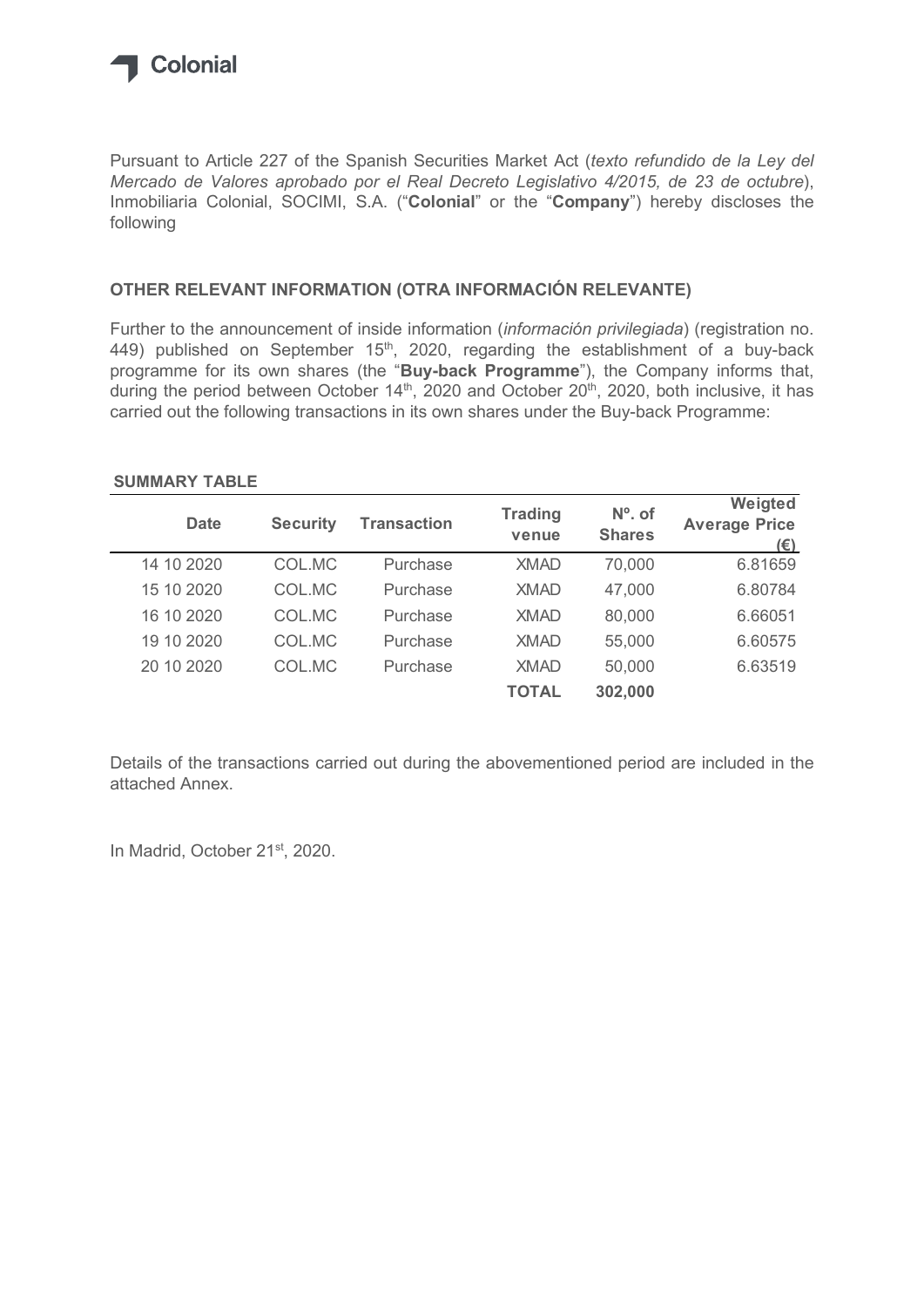

## OTHER RELEVANT INFORMATION (OTRA INFORMACIÓN RELEVANTE)

## SUMMARY TABLE

| following<br>OTHER RELEVANT INFORMATION (OTRA INFORMACIÓN RELEVANTE) |                 |                                                                                        |                         |                            |                                                                                                                                                                                                                                                                                                                                                                                                                 |
|----------------------------------------------------------------------|-----------------|----------------------------------------------------------------------------------------|-------------------------|----------------------------|-----------------------------------------------------------------------------------------------------------------------------------------------------------------------------------------------------------------------------------------------------------------------------------------------------------------------------------------------------------------------------------------------------------------|
|                                                                      |                 | carried out the following transactions in its own shares under the Buy-back Programme: |                         |                            | Further to the announcement of inside information (información privilegiada) (registration no.<br>449) published on September 15 <sup>th</sup> , 2020, regarding the establishment of a buy-back<br>programme for its own shares (the "Buy-back Programme"), the Company informs that,<br>during the period between October 14 <sup>th</sup> , 2020 and October 20 <sup>th</sup> , 2020, both inclusive, it has |
| <b>SUMMARY TABLE</b>                                                 |                 |                                                                                        |                         |                            | Weigted                                                                                                                                                                                                                                                                                                                                                                                                         |
| <b>Date</b>                                                          | <b>Security</b> | <b>Transaction</b>                                                                     | <b>Trading</b><br>venue | $No$ . of<br><b>Shares</b> | <b>Average Price</b>                                                                                                                                                                                                                                                                                                                                                                                            |
| 14 10 2020                                                           | COL.MC          | Purchase                                                                               | <b>XMAD</b>             | 70,000                     | $(\epsilon)$<br>6.81659                                                                                                                                                                                                                                                                                                                                                                                         |
| 15 10 2020                                                           | COL.MC          | Purchase                                                                               | <b>XMAD</b>             | 47,000                     | 6.80784                                                                                                                                                                                                                                                                                                                                                                                                         |
| 16 10 2020                                                           | COL.MC          | Purchase                                                                               | <b>XMAD</b>             | 80,000                     | 6.66051                                                                                                                                                                                                                                                                                                                                                                                                         |
| 19 10 2020                                                           | COL.MC          | Purchase                                                                               | <b>XMAD</b>             | 55,000                     | 6.60575                                                                                                                                                                                                                                                                                                                                                                                                         |
| 20 10 2020                                                           | COL.MC          | Purchase                                                                               | <b>XMAD</b>             | 50,000                     | 6.63519                                                                                                                                                                                                                                                                                                                                                                                                         |

Details of the transactions carried out during the abovementioned period are included in the attached Annex.

In Madrid, October 21<sup>st</sup>, 2020.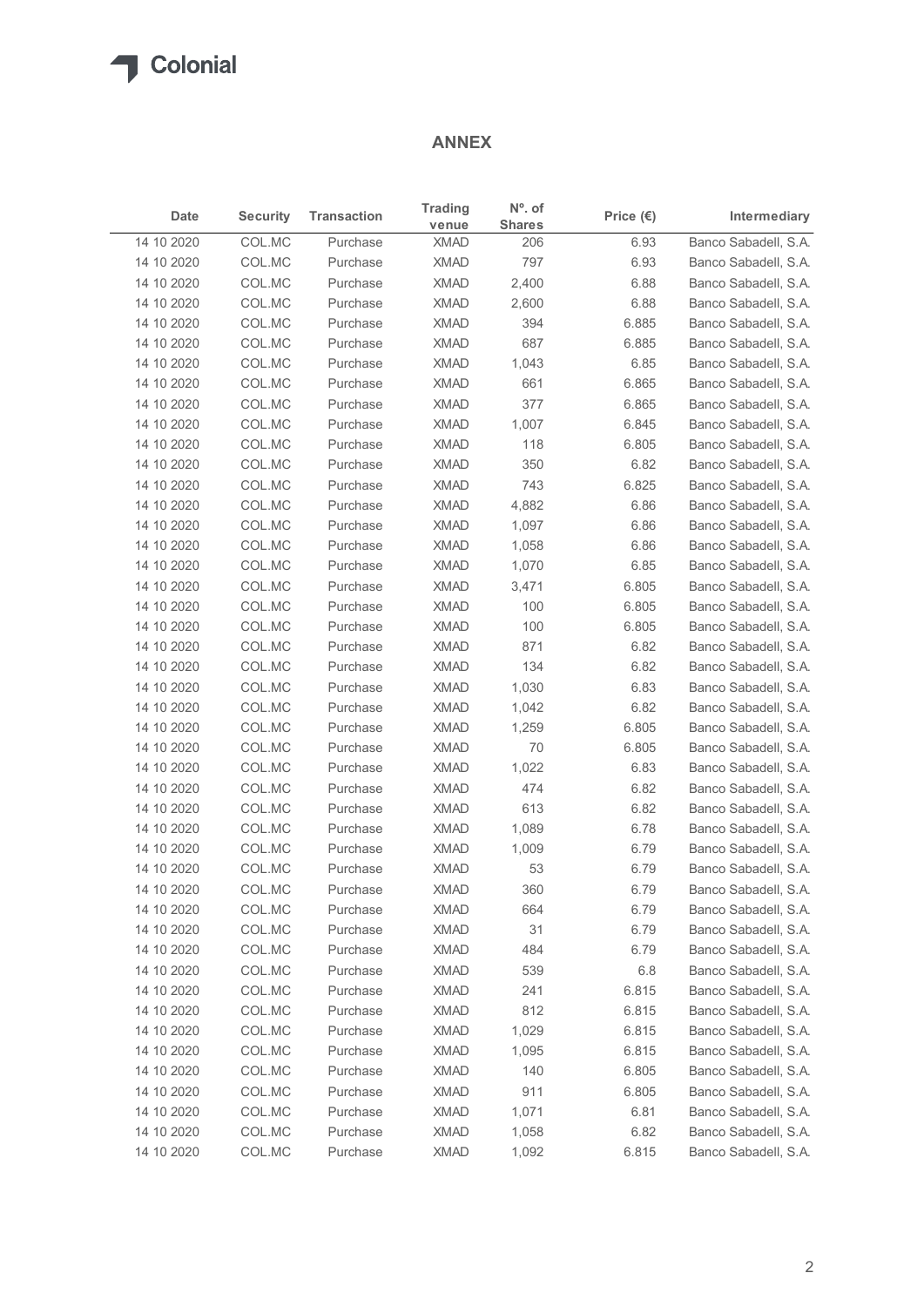## ANNEX

| $N^{\circ}$ . of<br><b>Trading</b><br><b>Security</b><br><b>Transaction</b><br>Intermediary<br>Date<br>Price $(\epsilon)$<br><b>Shares</b><br>venue<br>14 10 2020<br>COL.MC<br><b>XMAD</b><br>Purchase<br>206<br>6.93<br>COL.MC<br>XMAD<br>797<br>Banco Sabadell, S.A.<br>14 10 2020<br>Purchase<br>6.93<br>COL.MC<br>Banco Sabadell, S.A.<br>14 10 2020<br>Purchase<br><b>XMAD</b><br>2,400<br>6.88<br>COL.MC<br><b>XMAD</b><br>2,600<br>14 10 2020<br>Purchase<br>6.88<br>Banco Sabadell, S.A.<br>COL.MC<br>XMAD<br>14 10 2020<br>Purchase<br>394<br>6.885<br>COL.MC<br><b>XMAD</b><br>Banco Sabadell, S.A.<br>14 10 2020<br>Purchase<br>687<br>6.885<br>COL.MC<br>XMAD<br>14 10 2020<br>Purchase<br>1,043<br>6.85<br>Banco Sabadell, S.A.<br>COL.MC<br>661<br>14 10 2020<br>Purchase<br><b>XMAD</b><br>6.865<br>COL.MC<br><b>XMAD</b><br>377<br>Banco Sabadell, S.A.<br>14 10 2020<br>6.865<br>Purchase<br><b>XMAD</b><br>14 10 2020<br>COL.MC<br>1,007<br>6.845<br>Banco Sabadell, S.A.<br>Purchase<br>XMAD<br>14 10 2020<br>COL.MC<br>118<br>6.805<br>Banco Sabadell, S.A.<br>Purchase<br>COL.MC<br>XMAD<br>350<br>6.82<br>Banco Sabadell, S.A.<br>14 10 2020<br>Purchase<br>COL.MC<br><b>XMAD</b><br>6.825<br>14 10 2020<br>Purchase<br>743<br>Banco Sabadell, S.A.<br>14 10 2020<br>COL.MC<br>XMAD<br>4,882<br>6.86<br>Purchase<br>14 10 2020<br>COL.MC<br><b>XMAD</b><br>1,097<br>6.86<br>Purchase<br>COL.MC<br><b>XMAD</b><br>1,058<br>6.86<br>14 10 2020<br>Purchase<br>COL.MC<br><b>XMAD</b><br>1,070<br>6.85<br>14 10 2020<br>Purchase<br>14 10 2020<br>COL.MC<br><b>XMAD</b><br>6.805<br>Purchase<br>3,471<br>COL.MC<br>Purchase<br><b>XMAD</b><br>6.805<br>14 10 2020<br>100<br>COL.MC<br><b>XMAD</b><br>100<br>6.805<br>14 10 2020<br>Purchase<br><b>XMAD</b><br>871<br>6.82<br>14 10 2020<br>COL.MC<br>Purchase<br>COL.MC<br><b>XMAD</b><br>134<br>6.82<br>14 10 2020<br>Purchase<br>COL.MC<br><b>XMAD</b><br>1,030<br>6.83<br>14 10 2020<br>Purchase<br>14 10 2020<br>COL.MC<br><b>XMAD</b><br>6.82<br>Purchase<br>1,042<br>COL.MC<br><b>XMAD</b><br>14 10 2020<br>Purchase<br>1,259<br>6.805<br>COL.MC<br>70<br>6.805<br>14 10 2020<br>Purchase<br><b>XMAD</b><br>14 10 2020<br>COL.MC<br>Purchase<br>XMAD<br>1,022<br>6.83<br>COL.MC<br><b>XMAD</b><br>474<br>6.82<br>14 10 2020<br>Purchase<br>COL.MC<br><b>XMAD</b><br>613<br>6.82<br>14 10 2020<br>Purchase<br>COL.MC<br><b>XMAD</b><br>1,089<br>14 10 2020<br>Purchase<br>6.78<br>COL.MC<br>Purchase<br><b>XMAD</b><br>1,009<br>6.79<br>14 10 2020<br>COL.MC<br><b>XMAD</b><br>53<br>6.79<br>14 10 2020<br>Purchase<br><b>XMAD</b><br>360<br>14 10 2020<br>COL.MC<br>6.79<br>Purchase<br>COL.MC<br><b>XMAD</b><br>664<br>6.79<br>14 10 2020<br>Purchase<br>COL.MC<br><b>XMAD</b><br>31<br>6.79<br>14 10 2020<br>Purchase<br>14 10 2020<br>COL.MC<br><b>XMAD</b><br>Purchase<br>484<br>6.79<br>COL.MC<br><b>XMAD</b><br>539<br>6.8<br>14 10 2020<br>Purchase<br>14 10 2020<br>COL.MC<br>Purchase<br><b>XMAD</b><br>241<br>6.815<br>COL.MC<br><b>XMAD</b><br>812<br>6.815<br>14 10 2020<br>Purchase<br>COL.MC<br><b>XMAD</b><br>1,029<br>6.815<br>14 10 2020<br>Purchase<br>COL.MC<br><b>XMAD</b><br>6.815<br>14 10 2020<br>Purchase<br>1,095<br>COL.MC<br><b>XMAD</b><br>6.805<br>14 10 2020<br>Purchase<br>140<br>COL.MC<br><b>XMAD</b><br>911<br>6.805<br>14 10 2020<br>Purchase<br>COL.MC<br><b>XMAD</b><br>6.81<br>14 10 2020<br>Purchase<br>1,071 |            |        |          | <b>ANNEX</b> |       |      |                      |
|------------------------------------------------------------------------------------------------------------------------------------------------------------------------------------------------------------------------------------------------------------------------------------------------------------------------------------------------------------------------------------------------------------------------------------------------------------------------------------------------------------------------------------------------------------------------------------------------------------------------------------------------------------------------------------------------------------------------------------------------------------------------------------------------------------------------------------------------------------------------------------------------------------------------------------------------------------------------------------------------------------------------------------------------------------------------------------------------------------------------------------------------------------------------------------------------------------------------------------------------------------------------------------------------------------------------------------------------------------------------------------------------------------------------------------------------------------------------------------------------------------------------------------------------------------------------------------------------------------------------------------------------------------------------------------------------------------------------------------------------------------------------------------------------------------------------------------------------------------------------------------------------------------------------------------------------------------------------------------------------------------------------------------------------------------------------------------------------------------------------------------------------------------------------------------------------------------------------------------------------------------------------------------------------------------------------------------------------------------------------------------------------------------------------------------------------------------------------------------------------------------------------------------------------------------------------------------------------------------------------------------------------------------------------------------------------------------------------------------------------------------------------------------------------------------------------------------------------------------------------------------------------------------------------------------------------------------------------------------------------------------------------------------------------------------------------------------------------------------------------------------------------------------------------------------------------------------------------------------------------------------------------------------------------------------------------------------------------------------------------------------------------------------------------------|------------|--------|----------|--------------|-------|------|----------------------|
| Banco Sabadell, S.A.<br>Banco Sabadell, S.A.<br>Banco Sabadell, S.A.<br>Banco Sabadell, S.A.<br>Banco Sabadell, S.A.                                                                                                                                                                                                                                                                                                                                                                                                                                                                                                                                                                                                                                                                                                                                                                                                                                                                                                                                                                                                                                                                                                                                                                                                                                                                                                                                                                                                                                                                                                                                                                                                                                                                                                                                                                                                                                                                                                                                                                                                                                                                                                                                                                                                                                                                                                                                                                                                                                                                                                                                                                                                                                                                                                                                                                                                                                                                                                                                                                                                                                                                                                                                                                                                                                                                                                         |            |        |          |              |       |      |                      |
| Banco Sabadell, S.A.<br>Banco Sabadell, S.A.<br>Banco Sabadell, S.A.<br>Banco Sabadell, S.A.<br>Banco Sabadell, S.A.<br>Banco Sabadell, S.A.<br>Banco Sabadell, S.A.<br>Banco Sabadell, S.A.<br>Banco Sabadell, S.A.<br>Banco Sabadell, S.A.<br>Banco Sabadell, S.A.<br>Banco Sabadell, S.A.<br>Banco Sabadell, S.A.<br>Banco Sabadell, S.A.<br>Banco Sabadell, S.A.<br>Banco Sabadell, S.A.<br>Banco Sabadell, S.A.<br>Banco Sabadell, S.A.<br>Banco Sabadell, S.A.<br>Banco Sabadell, S.A.<br>Banco Sabadell, S.A.<br>Banco Sabadell, S.A.<br>Banco Sabadell, S.A.<br>Banco Sabadell, S.A.<br>Banco Sabadell, S.A.<br>Banco Sabadell, S.A.<br>Banco Sabadell, S.A.<br>Banco Sabadell, S.A.<br>Banco Sabadell, S.A.                                                                                                                                                                                                                                                                                                                                                                                                                                                                                                                                                                                                                                                                                                                                                                                                                                                                                                                                                                                                                                                                                                                                                                                                                                                                                                                                                                                                                                                                                                                                                                                                                                                                                                                                                                                                                                                                                                                                                                                                                                                                                                                                                                                                                                                                                                                                                                                                                                                                                                                                                                                                                                                                                                         |            |        |          |              |       |      |                      |
|                                                                                                                                                                                                                                                                                                                                                                                                                                                                                                                                                                                                                                                                                                                                                                                                                                                                                                                                                                                                                                                                                                                                                                                                                                                                                                                                                                                                                                                                                                                                                                                                                                                                                                                                                                                                                                                                                                                                                                                                                                                                                                                                                                                                                                                                                                                                                                                                                                                                                                                                                                                                                                                                                                                                                                                                                                                                                                                                                                                                                                                                                                                                                                                                                                                                                                                                                                                                                              |            |        |          |              |       |      |                      |
|                                                                                                                                                                                                                                                                                                                                                                                                                                                                                                                                                                                                                                                                                                                                                                                                                                                                                                                                                                                                                                                                                                                                                                                                                                                                                                                                                                                                                                                                                                                                                                                                                                                                                                                                                                                                                                                                                                                                                                                                                                                                                                                                                                                                                                                                                                                                                                                                                                                                                                                                                                                                                                                                                                                                                                                                                                                                                                                                                                                                                                                                                                                                                                                                                                                                                                                                                                                                                              |            |        |          |              |       |      |                      |
|                                                                                                                                                                                                                                                                                                                                                                                                                                                                                                                                                                                                                                                                                                                                                                                                                                                                                                                                                                                                                                                                                                                                                                                                                                                                                                                                                                                                                                                                                                                                                                                                                                                                                                                                                                                                                                                                                                                                                                                                                                                                                                                                                                                                                                                                                                                                                                                                                                                                                                                                                                                                                                                                                                                                                                                                                                                                                                                                                                                                                                                                                                                                                                                                                                                                                                                                                                                                                              |            |        |          |              |       |      |                      |
|                                                                                                                                                                                                                                                                                                                                                                                                                                                                                                                                                                                                                                                                                                                                                                                                                                                                                                                                                                                                                                                                                                                                                                                                                                                                                                                                                                                                                                                                                                                                                                                                                                                                                                                                                                                                                                                                                                                                                                                                                                                                                                                                                                                                                                                                                                                                                                                                                                                                                                                                                                                                                                                                                                                                                                                                                                                                                                                                                                                                                                                                                                                                                                                                                                                                                                                                                                                                                              |            |        |          |              |       |      |                      |
|                                                                                                                                                                                                                                                                                                                                                                                                                                                                                                                                                                                                                                                                                                                                                                                                                                                                                                                                                                                                                                                                                                                                                                                                                                                                                                                                                                                                                                                                                                                                                                                                                                                                                                                                                                                                                                                                                                                                                                                                                                                                                                                                                                                                                                                                                                                                                                                                                                                                                                                                                                                                                                                                                                                                                                                                                                                                                                                                                                                                                                                                                                                                                                                                                                                                                                                                                                                                                              |            |        |          |              |       |      |                      |
|                                                                                                                                                                                                                                                                                                                                                                                                                                                                                                                                                                                                                                                                                                                                                                                                                                                                                                                                                                                                                                                                                                                                                                                                                                                                                                                                                                                                                                                                                                                                                                                                                                                                                                                                                                                                                                                                                                                                                                                                                                                                                                                                                                                                                                                                                                                                                                                                                                                                                                                                                                                                                                                                                                                                                                                                                                                                                                                                                                                                                                                                                                                                                                                                                                                                                                                                                                                                                              |            |        |          |              |       |      |                      |
|                                                                                                                                                                                                                                                                                                                                                                                                                                                                                                                                                                                                                                                                                                                                                                                                                                                                                                                                                                                                                                                                                                                                                                                                                                                                                                                                                                                                                                                                                                                                                                                                                                                                                                                                                                                                                                                                                                                                                                                                                                                                                                                                                                                                                                                                                                                                                                                                                                                                                                                                                                                                                                                                                                                                                                                                                                                                                                                                                                                                                                                                                                                                                                                                                                                                                                                                                                                                                              |            |        |          |              |       |      |                      |
|                                                                                                                                                                                                                                                                                                                                                                                                                                                                                                                                                                                                                                                                                                                                                                                                                                                                                                                                                                                                                                                                                                                                                                                                                                                                                                                                                                                                                                                                                                                                                                                                                                                                                                                                                                                                                                                                                                                                                                                                                                                                                                                                                                                                                                                                                                                                                                                                                                                                                                                                                                                                                                                                                                                                                                                                                                                                                                                                                                                                                                                                                                                                                                                                                                                                                                                                                                                                                              |            |        |          |              |       |      |                      |
|                                                                                                                                                                                                                                                                                                                                                                                                                                                                                                                                                                                                                                                                                                                                                                                                                                                                                                                                                                                                                                                                                                                                                                                                                                                                                                                                                                                                                                                                                                                                                                                                                                                                                                                                                                                                                                                                                                                                                                                                                                                                                                                                                                                                                                                                                                                                                                                                                                                                                                                                                                                                                                                                                                                                                                                                                                                                                                                                                                                                                                                                                                                                                                                                                                                                                                                                                                                                                              |            |        |          |              |       |      |                      |
|                                                                                                                                                                                                                                                                                                                                                                                                                                                                                                                                                                                                                                                                                                                                                                                                                                                                                                                                                                                                                                                                                                                                                                                                                                                                                                                                                                                                                                                                                                                                                                                                                                                                                                                                                                                                                                                                                                                                                                                                                                                                                                                                                                                                                                                                                                                                                                                                                                                                                                                                                                                                                                                                                                                                                                                                                                                                                                                                                                                                                                                                                                                                                                                                                                                                                                                                                                                                                              |            |        |          |              |       |      |                      |
|                                                                                                                                                                                                                                                                                                                                                                                                                                                                                                                                                                                                                                                                                                                                                                                                                                                                                                                                                                                                                                                                                                                                                                                                                                                                                                                                                                                                                                                                                                                                                                                                                                                                                                                                                                                                                                                                                                                                                                                                                                                                                                                                                                                                                                                                                                                                                                                                                                                                                                                                                                                                                                                                                                                                                                                                                                                                                                                                                                                                                                                                                                                                                                                                                                                                                                                                                                                                                              |            |        |          |              |       |      |                      |
|                                                                                                                                                                                                                                                                                                                                                                                                                                                                                                                                                                                                                                                                                                                                                                                                                                                                                                                                                                                                                                                                                                                                                                                                                                                                                                                                                                                                                                                                                                                                                                                                                                                                                                                                                                                                                                                                                                                                                                                                                                                                                                                                                                                                                                                                                                                                                                                                                                                                                                                                                                                                                                                                                                                                                                                                                                                                                                                                                                                                                                                                                                                                                                                                                                                                                                                                                                                                                              |            |        |          |              |       |      |                      |
|                                                                                                                                                                                                                                                                                                                                                                                                                                                                                                                                                                                                                                                                                                                                                                                                                                                                                                                                                                                                                                                                                                                                                                                                                                                                                                                                                                                                                                                                                                                                                                                                                                                                                                                                                                                                                                                                                                                                                                                                                                                                                                                                                                                                                                                                                                                                                                                                                                                                                                                                                                                                                                                                                                                                                                                                                                                                                                                                                                                                                                                                                                                                                                                                                                                                                                                                                                                                                              |            |        |          |              |       |      |                      |
|                                                                                                                                                                                                                                                                                                                                                                                                                                                                                                                                                                                                                                                                                                                                                                                                                                                                                                                                                                                                                                                                                                                                                                                                                                                                                                                                                                                                                                                                                                                                                                                                                                                                                                                                                                                                                                                                                                                                                                                                                                                                                                                                                                                                                                                                                                                                                                                                                                                                                                                                                                                                                                                                                                                                                                                                                                                                                                                                                                                                                                                                                                                                                                                                                                                                                                                                                                                                                              |            |        |          |              |       |      |                      |
|                                                                                                                                                                                                                                                                                                                                                                                                                                                                                                                                                                                                                                                                                                                                                                                                                                                                                                                                                                                                                                                                                                                                                                                                                                                                                                                                                                                                                                                                                                                                                                                                                                                                                                                                                                                                                                                                                                                                                                                                                                                                                                                                                                                                                                                                                                                                                                                                                                                                                                                                                                                                                                                                                                                                                                                                                                                                                                                                                                                                                                                                                                                                                                                                                                                                                                                                                                                                                              |            |        |          |              |       |      |                      |
|                                                                                                                                                                                                                                                                                                                                                                                                                                                                                                                                                                                                                                                                                                                                                                                                                                                                                                                                                                                                                                                                                                                                                                                                                                                                                                                                                                                                                                                                                                                                                                                                                                                                                                                                                                                                                                                                                                                                                                                                                                                                                                                                                                                                                                                                                                                                                                                                                                                                                                                                                                                                                                                                                                                                                                                                                                                                                                                                                                                                                                                                                                                                                                                                                                                                                                                                                                                                                              |            |        |          |              |       |      |                      |
|                                                                                                                                                                                                                                                                                                                                                                                                                                                                                                                                                                                                                                                                                                                                                                                                                                                                                                                                                                                                                                                                                                                                                                                                                                                                                                                                                                                                                                                                                                                                                                                                                                                                                                                                                                                                                                                                                                                                                                                                                                                                                                                                                                                                                                                                                                                                                                                                                                                                                                                                                                                                                                                                                                                                                                                                                                                                                                                                                                                                                                                                                                                                                                                                                                                                                                                                                                                                                              |            |        |          |              |       |      |                      |
|                                                                                                                                                                                                                                                                                                                                                                                                                                                                                                                                                                                                                                                                                                                                                                                                                                                                                                                                                                                                                                                                                                                                                                                                                                                                                                                                                                                                                                                                                                                                                                                                                                                                                                                                                                                                                                                                                                                                                                                                                                                                                                                                                                                                                                                                                                                                                                                                                                                                                                                                                                                                                                                                                                                                                                                                                                                                                                                                                                                                                                                                                                                                                                                                                                                                                                                                                                                                                              |            |        |          |              |       |      |                      |
|                                                                                                                                                                                                                                                                                                                                                                                                                                                                                                                                                                                                                                                                                                                                                                                                                                                                                                                                                                                                                                                                                                                                                                                                                                                                                                                                                                                                                                                                                                                                                                                                                                                                                                                                                                                                                                                                                                                                                                                                                                                                                                                                                                                                                                                                                                                                                                                                                                                                                                                                                                                                                                                                                                                                                                                                                                                                                                                                                                                                                                                                                                                                                                                                                                                                                                                                                                                                                              |            |        |          |              |       |      |                      |
|                                                                                                                                                                                                                                                                                                                                                                                                                                                                                                                                                                                                                                                                                                                                                                                                                                                                                                                                                                                                                                                                                                                                                                                                                                                                                                                                                                                                                                                                                                                                                                                                                                                                                                                                                                                                                                                                                                                                                                                                                                                                                                                                                                                                                                                                                                                                                                                                                                                                                                                                                                                                                                                                                                                                                                                                                                                                                                                                                                                                                                                                                                                                                                                                                                                                                                                                                                                                                              |            |        |          |              |       |      |                      |
|                                                                                                                                                                                                                                                                                                                                                                                                                                                                                                                                                                                                                                                                                                                                                                                                                                                                                                                                                                                                                                                                                                                                                                                                                                                                                                                                                                                                                                                                                                                                                                                                                                                                                                                                                                                                                                                                                                                                                                                                                                                                                                                                                                                                                                                                                                                                                                                                                                                                                                                                                                                                                                                                                                                                                                                                                                                                                                                                                                                                                                                                                                                                                                                                                                                                                                                                                                                                                              |            |        |          |              |       |      |                      |
|                                                                                                                                                                                                                                                                                                                                                                                                                                                                                                                                                                                                                                                                                                                                                                                                                                                                                                                                                                                                                                                                                                                                                                                                                                                                                                                                                                                                                                                                                                                                                                                                                                                                                                                                                                                                                                                                                                                                                                                                                                                                                                                                                                                                                                                                                                                                                                                                                                                                                                                                                                                                                                                                                                                                                                                                                                                                                                                                                                                                                                                                                                                                                                                                                                                                                                                                                                                                                              |            |        |          |              |       |      |                      |
|                                                                                                                                                                                                                                                                                                                                                                                                                                                                                                                                                                                                                                                                                                                                                                                                                                                                                                                                                                                                                                                                                                                                                                                                                                                                                                                                                                                                                                                                                                                                                                                                                                                                                                                                                                                                                                                                                                                                                                                                                                                                                                                                                                                                                                                                                                                                                                                                                                                                                                                                                                                                                                                                                                                                                                                                                                                                                                                                                                                                                                                                                                                                                                                                                                                                                                                                                                                                                              |            |        |          |              |       |      |                      |
|                                                                                                                                                                                                                                                                                                                                                                                                                                                                                                                                                                                                                                                                                                                                                                                                                                                                                                                                                                                                                                                                                                                                                                                                                                                                                                                                                                                                                                                                                                                                                                                                                                                                                                                                                                                                                                                                                                                                                                                                                                                                                                                                                                                                                                                                                                                                                                                                                                                                                                                                                                                                                                                                                                                                                                                                                                                                                                                                                                                                                                                                                                                                                                                                                                                                                                                                                                                                                              |            |        |          |              |       |      |                      |
|                                                                                                                                                                                                                                                                                                                                                                                                                                                                                                                                                                                                                                                                                                                                                                                                                                                                                                                                                                                                                                                                                                                                                                                                                                                                                                                                                                                                                                                                                                                                                                                                                                                                                                                                                                                                                                                                                                                                                                                                                                                                                                                                                                                                                                                                                                                                                                                                                                                                                                                                                                                                                                                                                                                                                                                                                                                                                                                                                                                                                                                                                                                                                                                                                                                                                                                                                                                                                              |            |        |          |              |       |      |                      |
|                                                                                                                                                                                                                                                                                                                                                                                                                                                                                                                                                                                                                                                                                                                                                                                                                                                                                                                                                                                                                                                                                                                                                                                                                                                                                                                                                                                                                                                                                                                                                                                                                                                                                                                                                                                                                                                                                                                                                                                                                                                                                                                                                                                                                                                                                                                                                                                                                                                                                                                                                                                                                                                                                                                                                                                                                                                                                                                                                                                                                                                                                                                                                                                                                                                                                                                                                                                                                              |            |        |          |              |       |      |                      |
|                                                                                                                                                                                                                                                                                                                                                                                                                                                                                                                                                                                                                                                                                                                                                                                                                                                                                                                                                                                                                                                                                                                                                                                                                                                                                                                                                                                                                                                                                                                                                                                                                                                                                                                                                                                                                                                                                                                                                                                                                                                                                                                                                                                                                                                                                                                                                                                                                                                                                                                                                                                                                                                                                                                                                                                                                                                                                                                                                                                                                                                                                                                                                                                                                                                                                                                                                                                                                              |            |        |          |              |       |      |                      |
|                                                                                                                                                                                                                                                                                                                                                                                                                                                                                                                                                                                                                                                                                                                                                                                                                                                                                                                                                                                                                                                                                                                                                                                                                                                                                                                                                                                                                                                                                                                                                                                                                                                                                                                                                                                                                                                                                                                                                                                                                                                                                                                                                                                                                                                                                                                                                                                                                                                                                                                                                                                                                                                                                                                                                                                                                                                                                                                                                                                                                                                                                                                                                                                                                                                                                                                                                                                                                              |            |        |          |              |       |      |                      |
|                                                                                                                                                                                                                                                                                                                                                                                                                                                                                                                                                                                                                                                                                                                                                                                                                                                                                                                                                                                                                                                                                                                                                                                                                                                                                                                                                                                                                                                                                                                                                                                                                                                                                                                                                                                                                                                                                                                                                                                                                                                                                                                                                                                                                                                                                                                                                                                                                                                                                                                                                                                                                                                                                                                                                                                                                                                                                                                                                                                                                                                                                                                                                                                                                                                                                                                                                                                                                              |            |        |          |              |       |      |                      |
|                                                                                                                                                                                                                                                                                                                                                                                                                                                                                                                                                                                                                                                                                                                                                                                                                                                                                                                                                                                                                                                                                                                                                                                                                                                                                                                                                                                                                                                                                                                                                                                                                                                                                                                                                                                                                                                                                                                                                                                                                                                                                                                                                                                                                                                                                                                                                                                                                                                                                                                                                                                                                                                                                                                                                                                                                                                                                                                                                                                                                                                                                                                                                                                                                                                                                                                                                                                                                              |            |        |          |              |       |      |                      |
|                                                                                                                                                                                                                                                                                                                                                                                                                                                                                                                                                                                                                                                                                                                                                                                                                                                                                                                                                                                                                                                                                                                                                                                                                                                                                                                                                                                                                                                                                                                                                                                                                                                                                                                                                                                                                                                                                                                                                                                                                                                                                                                                                                                                                                                                                                                                                                                                                                                                                                                                                                                                                                                                                                                                                                                                                                                                                                                                                                                                                                                                                                                                                                                                                                                                                                                                                                                                                              |            |        |          |              |       |      |                      |
|                                                                                                                                                                                                                                                                                                                                                                                                                                                                                                                                                                                                                                                                                                                                                                                                                                                                                                                                                                                                                                                                                                                                                                                                                                                                                                                                                                                                                                                                                                                                                                                                                                                                                                                                                                                                                                                                                                                                                                                                                                                                                                                                                                                                                                                                                                                                                                                                                                                                                                                                                                                                                                                                                                                                                                                                                                                                                                                                                                                                                                                                                                                                                                                                                                                                                                                                                                                                                              |            |        |          |              |       |      |                      |
|                                                                                                                                                                                                                                                                                                                                                                                                                                                                                                                                                                                                                                                                                                                                                                                                                                                                                                                                                                                                                                                                                                                                                                                                                                                                                                                                                                                                                                                                                                                                                                                                                                                                                                                                                                                                                                                                                                                                                                                                                                                                                                                                                                                                                                                                                                                                                                                                                                                                                                                                                                                                                                                                                                                                                                                                                                                                                                                                                                                                                                                                                                                                                                                                                                                                                                                                                                                                                              |            |        |          |              |       |      |                      |
|                                                                                                                                                                                                                                                                                                                                                                                                                                                                                                                                                                                                                                                                                                                                                                                                                                                                                                                                                                                                                                                                                                                                                                                                                                                                                                                                                                                                                                                                                                                                                                                                                                                                                                                                                                                                                                                                                                                                                                                                                                                                                                                                                                                                                                                                                                                                                                                                                                                                                                                                                                                                                                                                                                                                                                                                                                                                                                                                                                                                                                                                                                                                                                                                                                                                                                                                                                                                                              |            |        |          |              |       |      |                      |
|                                                                                                                                                                                                                                                                                                                                                                                                                                                                                                                                                                                                                                                                                                                                                                                                                                                                                                                                                                                                                                                                                                                                                                                                                                                                                                                                                                                                                                                                                                                                                                                                                                                                                                                                                                                                                                                                                                                                                                                                                                                                                                                                                                                                                                                                                                                                                                                                                                                                                                                                                                                                                                                                                                                                                                                                                                                                                                                                                                                                                                                                                                                                                                                                                                                                                                                                                                                                                              |            |        |          |              |       |      |                      |
|                                                                                                                                                                                                                                                                                                                                                                                                                                                                                                                                                                                                                                                                                                                                                                                                                                                                                                                                                                                                                                                                                                                                                                                                                                                                                                                                                                                                                                                                                                                                                                                                                                                                                                                                                                                                                                                                                                                                                                                                                                                                                                                                                                                                                                                                                                                                                                                                                                                                                                                                                                                                                                                                                                                                                                                                                                                                                                                                                                                                                                                                                                                                                                                                                                                                                                                                                                                                                              |            |        |          |              |       |      |                      |
|                                                                                                                                                                                                                                                                                                                                                                                                                                                                                                                                                                                                                                                                                                                                                                                                                                                                                                                                                                                                                                                                                                                                                                                                                                                                                                                                                                                                                                                                                                                                                                                                                                                                                                                                                                                                                                                                                                                                                                                                                                                                                                                                                                                                                                                                                                                                                                                                                                                                                                                                                                                                                                                                                                                                                                                                                                                                                                                                                                                                                                                                                                                                                                                                                                                                                                                                                                                                                              |            |        |          |              |       |      |                      |
|                                                                                                                                                                                                                                                                                                                                                                                                                                                                                                                                                                                                                                                                                                                                                                                                                                                                                                                                                                                                                                                                                                                                                                                                                                                                                                                                                                                                                                                                                                                                                                                                                                                                                                                                                                                                                                                                                                                                                                                                                                                                                                                                                                                                                                                                                                                                                                                                                                                                                                                                                                                                                                                                                                                                                                                                                                                                                                                                                                                                                                                                                                                                                                                                                                                                                                                                                                                                                              |            |        |          |              |       |      |                      |
|                                                                                                                                                                                                                                                                                                                                                                                                                                                                                                                                                                                                                                                                                                                                                                                                                                                                                                                                                                                                                                                                                                                                                                                                                                                                                                                                                                                                                                                                                                                                                                                                                                                                                                                                                                                                                                                                                                                                                                                                                                                                                                                                                                                                                                                                                                                                                                                                                                                                                                                                                                                                                                                                                                                                                                                                                                                                                                                                                                                                                                                                                                                                                                                                                                                                                                                                                                                                                              |            |        |          |              |       |      |                      |
|                                                                                                                                                                                                                                                                                                                                                                                                                                                                                                                                                                                                                                                                                                                                                                                                                                                                                                                                                                                                                                                                                                                                                                                                                                                                                                                                                                                                                                                                                                                                                                                                                                                                                                                                                                                                                                                                                                                                                                                                                                                                                                                                                                                                                                                                                                                                                                                                                                                                                                                                                                                                                                                                                                                                                                                                                                                                                                                                                                                                                                                                                                                                                                                                                                                                                                                                                                                                                              |            |        |          |              |       |      |                      |
|                                                                                                                                                                                                                                                                                                                                                                                                                                                                                                                                                                                                                                                                                                                                                                                                                                                                                                                                                                                                                                                                                                                                                                                                                                                                                                                                                                                                                                                                                                                                                                                                                                                                                                                                                                                                                                                                                                                                                                                                                                                                                                                                                                                                                                                                                                                                                                                                                                                                                                                                                                                                                                                                                                                                                                                                                                                                                                                                                                                                                                                                                                                                                                                                                                                                                                                                                                                                                              |            |        |          |              |       |      |                      |
|                                                                                                                                                                                                                                                                                                                                                                                                                                                                                                                                                                                                                                                                                                                                                                                                                                                                                                                                                                                                                                                                                                                                                                                                                                                                                                                                                                                                                                                                                                                                                                                                                                                                                                                                                                                                                                                                                                                                                                                                                                                                                                                                                                                                                                                                                                                                                                                                                                                                                                                                                                                                                                                                                                                                                                                                                                                                                                                                                                                                                                                                                                                                                                                                                                                                                                                                                                                                                              | 14 10 2020 | COL.MC | Purchase | <b>XMAD</b>  | 1,058 | 6.82 | Banco Sabadell, S.A. |
| COL.MC<br><b>XMAD</b><br>1,092<br>6.815<br>14 10 2020<br>Purchase<br>Banco Sabadell, S.A.                                                                                                                                                                                                                                                                                                                                                                                                                                                                                                                                                                                                                                                                                                                                                                                                                                                                                                                                                                                                                                                                                                                                                                                                                                                                                                                                                                                                                                                                                                                                                                                                                                                                                                                                                                                                                                                                                                                                                                                                                                                                                                                                                                                                                                                                                                                                                                                                                                                                                                                                                                                                                                                                                                                                                                                                                                                                                                                                                                                                                                                                                                                                                                                                                                                                                                                                    |            |        |          |              |       |      |                      |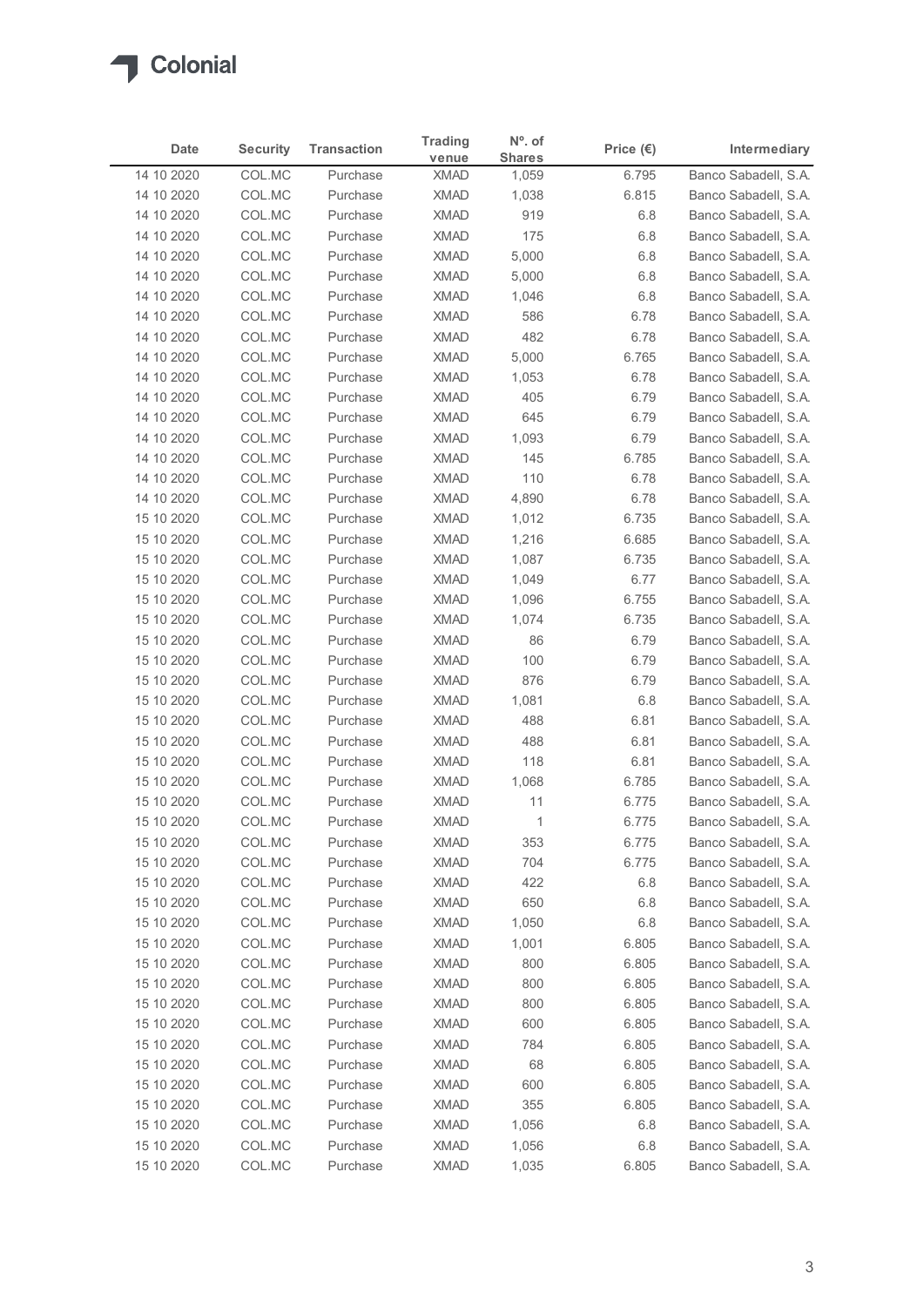

| <b>Date</b><br><b>Security</b><br><b>Transaction</b><br>Price $(\epsilon)$<br>Intermediary<br><b>Shares</b><br>venue<br>Banco Sabadell, S.A.<br>14 10 2020<br>COL.MC<br><b>XMAD</b><br>6.795<br>Purchase<br>1,059<br>COL.MC<br><b>XMAD</b><br>6.815<br>Banco Sabadell, S.A.<br>14 10 2020<br>Purchase<br>1,038<br>COL.MC<br><b>XMAD</b><br>919<br>Banco Sabadell, S.A.<br>14 10 2020<br>Purchase<br>6.8<br><b>XMAD</b><br>175<br>14 10 2020<br>COL.MC<br>Purchase<br>6.8<br>Banco Sabadell, S.A.<br>COL.MC<br><b>XMAD</b><br>5,000<br>14 10 2020<br>Purchase<br>6.8<br>Banco Sabadell, S.A.<br>14 10 2020<br>COL.MC<br><b>XMAD</b><br>5,000<br>Banco Sabadell, S.A.<br>Purchase<br>6.8<br>14 10 2020<br>COL.MC<br><b>XMAD</b><br>Banco Sabadell, S.A.<br>Purchase<br>1,046<br>6.8<br>14 10 2020<br>COL.MC<br>Purchase<br><b>XMAD</b><br>586<br>6.78<br>Banco Sabadell, S.A.<br>COL.MC<br>482<br>14 10 2020<br><b>XMAD</b><br>6.78<br>Banco Sabadell, S.A.<br>Purchase<br>14 10 2020<br>COL.MC<br><b>XMAD</b><br>Purchase<br>5,000<br>6.765<br>Banco Sabadell, S.A.<br>COL.MC<br><b>XMAD</b><br>14 10 2020<br>Purchase<br>1,053<br>6.78<br>Banco Sabadell, S.A.<br>COL.MC<br><b>XMAD</b><br>Banco Sabadell, S.A.<br>14 10 2020<br>Purchase<br>405<br>6.79<br><b>XMAD</b><br>14 10 2020<br>COL.MC<br>Purchase<br>645<br>6.79<br>Banco Sabadell, S.A.<br>14 10 2020<br>COL.MC<br>XMAD<br>1,093<br>6.79<br>Banco Sabadell, S.A.<br>Purchase<br><b>XMAD</b><br>6.785<br>Banco Sabadell, S.A.<br>14 10 2020<br>COL.MC<br>Purchase<br>145<br><b>XMAD</b><br>110<br>6.78<br>14 10 2020<br>COL.MC<br>Purchase<br>Banco Sabadell, S.A.<br>XMAD<br>6.78<br>14 10 2020<br>COL.MC<br>Purchase<br>4,890<br>Banco Sabadell, S.A.<br>COL.MC<br>XMAD<br>6.735<br>15 10 2020<br>Purchase<br>1,012<br>Banco Sabadell, S.A.<br>COL.MC<br><b>XMAD</b><br>6.685<br>Banco Sabadell, S.A.<br>15 10 2020<br>Purchase<br>1,216<br>6.735<br>15 10 2020<br>COL.MC<br>Purchase<br><b>XMAD</b><br>1,087<br>Banco Sabadell, S.A.<br>15 10 2020<br>COL.MC<br><b>XMAD</b><br>1,049<br>6.77<br>Banco Sabadell, S.A.<br>Purchase<br>15 10 2020<br>COL.MC<br>XMAD<br>1,096<br>6.755<br>Banco Sabadell, S.A.<br>Purchase<br>6.735<br>15 10 2020<br>COL.MC<br>Purchase<br><b>XMAD</b><br>1,074<br>Banco Sabadell, S.A.<br>XMAD<br>15 10 2020<br>COL.MC<br>Purchase<br>86<br>6.79<br>Banco Sabadell, S.A.<br>COL.MC<br><b>XMAD</b><br>100<br>15 10 2020<br>Purchase<br>6.79<br>Banco Sabadell, S.A.<br>COL.MC<br><b>XMAD</b><br>876<br>15 10 2020<br>Purchase<br>6.79<br>Banco Sabadell, S.A.<br><b>XMAD</b><br>15 10 2020<br>COL.MC<br>1,081<br>6.8<br>Banco Sabadell, S.A.<br>Purchase<br><b>XMAD</b><br>488<br>15 10 2020<br>COL.MC<br>Purchase<br>6.81<br>Banco Sabadell, S.A.<br><b>XMAD</b><br>488<br>6.81<br>Banco Sabadell, S.A.<br>15 10 2020<br>COL.MC<br>Purchase<br>COL.MC<br><b>XMAD</b><br>15 10 2020<br>Purchase<br>118<br>6.81<br>Banco Sabadell, S.A.<br><b>XMAD</b><br>15 10 2020<br>COL.MC<br>Purchase<br>1,068<br>6.785<br>Banco Sabadell, S.A.<br>6.775<br>15 10 2020<br>COL.MC<br>Purchase<br><b>XMAD</b><br>11<br>Banco Sabadell, S.A.<br><b>XMAD</b><br>6.775<br>15 10 2020<br>COL.MC<br>Purchase<br>$\overline{1}$<br>Banco Sabadell, S.A.<br>COL.MC<br>XMAD<br>353<br>6.775<br>15 10 2020<br>Purchase<br>Banco Sabadell, S.A.<br>15 10 2020<br>COL.MC<br>Purchase<br><b>XMAD</b><br>704<br>6.775<br>Banco Sabadell, S.A.<br>15 10 2020<br>COL.MC<br>Purchase<br><b>XMAD</b><br>422<br>6.8<br>Banco Sabadell, S.A.<br>COL.MC<br>6.8<br>15 10 2020<br>Purchase<br><b>XMAD</b><br>650<br>Banco Sabadell, S.A.<br>COL.MC<br><b>XMAD</b><br>6.8<br>15 10 2020<br>1,050<br>Banco Sabadell, S.A.<br>Purchase<br><b>XMAD</b><br>15 10 2020<br>COL.MC<br>Purchase<br>1,001<br>6.805<br>Banco Sabadell, S.A.<br><b>XMAD</b><br>6.805<br>15 10 2020<br>COL.MC<br>Purchase<br>800<br>Banco Sabadell, S.A.<br>COL.MC<br><b>XMAD</b><br>800<br>6.805<br>Banco Sabadell, S.A.<br>15 10 2020<br>Purchase<br>15 10 2020<br>COL.MC<br>Purchase<br><b>XMAD</b><br>800<br>6.805<br>Banco Sabadell, S.A.<br>15 10 2020<br>COL.MC<br>Purchase<br><b>XMAD</b><br>600<br>6.805<br>Banco Sabadell, S.A.<br>6.805<br>15 10 2020<br>COL.MC<br><b>XMAD</b><br>784<br>Banco Sabadell, S.A.<br>Purchase<br><b>XMAD</b><br>68<br>6.805<br>15 10 2020<br>COL.MC<br>Purchase<br>Banco Sabadell, S.A.<br>6.805<br>15 10 2020<br>COL.MC<br>Purchase<br><b>XMAD</b><br>600<br>Banco Sabadell, S.A. |
|---------------------------------------------------------------------------------------------------------------------------------------------------------------------------------------------------------------------------------------------------------------------------------------------------------------------------------------------------------------------------------------------------------------------------------------------------------------------------------------------------------------------------------------------------------------------------------------------------------------------------------------------------------------------------------------------------------------------------------------------------------------------------------------------------------------------------------------------------------------------------------------------------------------------------------------------------------------------------------------------------------------------------------------------------------------------------------------------------------------------------------------------------------------------------------------------------------------------------------------------------------------------------------------------------------------------------------------------------------------------------------------------------------------------------------------------------------------------------------------------------------------------------------------------------------------------------------------------------------------------------------------------------------------------------------------------------------------------------------------------------------------------------------------------------------------------------------------------------------------------------------------------------------------------------------------------------------------------------------------------------------------------------------------------------------------------------------------------------------------------------------------------------------------------------------------------------------------------------------------------------------------------------------------------------------------------------------------------------------------------------------------------------------------------------------------------------------------------------------------------------------------------------------------------------------------------------------------------------------------------------------------------------------------------------------------------------------------------------------------------------------------------------------------------------------------------------------------------------------------------------------------------------------------------------------------------------------------------------------------------------------------------------------------------------------------------------------------------------------------------------------------------------------------------------------------------------------------------------------------------------------------------------------------------------------------------------------------------------------------------------------------------------------------------------------------------------------------------------------------------------------------------------------------------------------------------------------------------------------------------------------------------------------------------------------------------------------------------------------------------------------------------------------------------------------------------------------------------------------------------------------------------------------------------------------------------------------------------------------------------------------------------------------------------------------------------------------------------------------------------------------------------------------------------------------------------------------------------------------------------------------------------------------------------------------------------------------------------------------------------------------------------------------------------------------------------------|
|                                                                                                                                                                                                                                                                                                                                                                                                                                                                                                                                                                                                                                                                                                                                                                                                                                                                                                                                                                                                                                                                                                                                                                                                                                                                                                                                                                                                                                                                                                                                                                                                                                                                                                                                                                                                                                                                                                                                                                                                                                                                                                                                                                                                                                                                                                                                                                                                                                                                                                                                                                                                                                                                                                                                                                                                                                                                                                                                                                                                                                                                                                                                                                                                                                                                                                                                                                                                                                                                                                                                                                                                                                                                                                                                                                                                                                                                                                                                                                                                                                                                                                                                                                                                                                                                                                                                                                                                                                                   |
|                                                                                                                                                                                                                                                                                                                                                                                                                                                                                                                                                                                                                                                                                                                                                                                                                                                                                                                                                                                                                                                                                                                                                                                                                                                                                                                                                                                                                                                                                                                                                                                                                                                                                                                                                                                                                                                                                                                                                                                                                                                                                                                                                                                                                                                                                                                                                                                                                                                                                                                                                                                                                                                                                                                                                                                                                                                                                                                                                                                                                                                                                                                                                                                                                                                                                                                                                                                                                                                                                                                                                                                                                                                                                                                                                                                                                                                                                                                                                                                                                                                                                                                                                                                                                                                                                                                                                                                                                                                   |
|                                                                                                                                                                                                                                                                                                                                                                                                                                                                                                                                                                                                                                                                                                                                                                                                                                                                                                                                                                                                                                                                                                                                                                                                                                                                                                                                                                                                                                                                                                                                                                                                                                                                                                                                                                                                                                                                                                                                                                                                                                                                                                                                                                                                                                                                                                                                                                                                                                                                                                                                                                                                                                                                                                                                                                                                                                                                                                                                                                                                                                                                                                                                                                                                                                                                                                                                                                                                                                                                                                                                                                                                                                                                                                                                                                                                                                                                                                                                                                                                                                                                                                                                                                                                                                                                                                                                                                                                                                                   |
|                                                                                                                                                                                                                                                                                                                                                                                                                                                                                                                                                                                                                                                                                                                                                                                                                                                                                                                                                                                                                                                                                                                                                                                                                                                                                                                                                                                                                                                                                                                                                                                                                                                                                                                                                                                                                                                                                                                                                                                                                                                                                                                                                                                                                                                                                                                                                                                                                                                                                                                                                                                                                                                                                                                                                                                                                                                                                                                                                                                                                                                                                                                                                                                                                                                                                                                                                                                                                                                                                                                                                                                                                                                                                                                                                                                                                                                                                                                                                                                                                                                                                                                                                                                                                                                                                                                                                                                                                                                   |
|                                                                                                                                                                                                                                                                                                                                                                                                                                                                                                                                                                                                                                                                                                                                                                                                                                                                                                                                                                                                                                                                                                                                                                                                                                                                                                                                                                                                                                                                                                                                                                                                                                                                                                                                                                                                                                                                                                                                                                                                                                                                                                                                                                                                                                                                                                                                                                                                                                                                                                                                                                                                                                                                                                                                                                                                                                                                                                                                                                                                                                                                                                                                                                                                                                                                                                                                                                                                                                                                                                                                                                                                                                                                                                                                                                                                                                                                                                                                                                                                                                                                                                                                                                                                                                                                                                                                                                                                                                                   |
|                                                                                                                                                                                                                                                                                                                                                                                                                                                                                                                                                                                                                                                                                                                                                                                                                                                                                                                                                                                                                                                                                                                                                                                                                                                                                                                                                                                                                                                                                                                                                                                                                                                                                                                                                                                                                                                                                                                                                                                                                                                                                                                                                                                                                                                                                                                                                                                                                                                                                                                                                                                                                                                                                                                                                                                                                                                                                                                                                                                                                                                                                                                                                                                                                                                                                                                                                                                                                                                                                                                                                                                                                                                                                                                                                                                                                                                                                                                                                                                                                                                                                                                                                                                                                                                                                                                                                                                                                                                   |
|                                                                                                                                                                                                                                                                                                                                                                                                                                                                                                                                                                                                                                                                                                                                                                                                                                                                                                                                                                                                                                                                                                                                                                                                                                                                                                                                                                                                                                                                                                                                                                                                                                                                                                                                                                                                                                                                                                                                                                                                                                                                                                                                                                                                                                                                                                                                                                                                                                                                                                                                                                                                                                                                                                                                                                                                                                                                                                                                                                                                                                                                                                                                                                                                                                                                                                                                                                                                                                                                                                                                                                                                                                                                                                                                                                                                                                                                                                                                                                                                                                                                                                                                                                                                                                                                                                                                                                                                                                                   |
|                                                                                                                                                                                                                                                                                                                                                                                                                                                                                                                                                                                                                                                                                                                                                                                                                                                                                                                                                                                                                                                                                                                                                                                                                                                                                                                                                                                                                                                                                                                                                                                                                                                                                                                                                                                                                                                                                                                                                                                                                                                                                                                                                                                                                                                                                                                                                                                                                                                                                                                                                                                                                                                                                                                                                                                                                                                                                                                                                                                                                                                                                                                                                                                                                                                                                                                                                                                                                                                                                                                                                                                                                                                                                                                                                                                                                                                                                                                                                                                                                                                                                                                                                                                                                                                                                                                                                                                                                                                   |
|                                                                                                                                                                                                                                                                                                                                                                                                                                                                                                                                                                                                                                                                                                                                                                                                                                                                                                                                                                                                                                                                                                                                                                                                                                                                                                                                                                                                                                                                                                                                                                                                                                                                                                                                                                                                                                                                                                                                                                                                                                                                                                                                                                                                                                                                                                                                                                                                                                                                                                                                                                                                                                                                                                                                                                                                                                                                                                                                                                                                                                                                                                                                                                                                                                                                                                                                                                                                                                                                                                                                                                                                                                                                                                                                                                                                                                                                                                                                                                                                                                                                                                                                                                                                                                                                                                                                                                                                                                                   |
|                                                                                                                                                                                                                                                                                                                                                                                                                                                                                                                                                                                                                                                                                                                                                                                                                                                                                                                                                                                                                                                                                                                                                                                                                                                                                                                                                                                                                                                                                                                                                                                                                                                                                                                                                                                                                                                                                                                                                                                                                                                                                                                                                                                                                                                                                                                                                                                                                                                                                                                                                                                                                                                                                                                                                                                                                                                                                                                                                                                                                                                                                                                                                                                                                                                                                                                                                                                                                                                                                                                                                                                                                                                                                                                                                                                                                                                                                                                                                                                                                                                                                                                                                                                                                                                                                                                                                                                                                                                   |
|                                                                                                                                                                                                                                                                                                                                                                                                                                                                                                                                                                                                                                                                                                                                                                                                                                                                                                                                                                                                                                                                                                                                                                                                                                                                                                                                                                                                                                                                                                                                                                                                                                                                                                                                                                                                                                                                                                                                                                                                                                                                                                                                                                                                                                                                                                                                                                                                                                                                                                                                                                                                                                                                                                                                                                                                                                                                                                                                                                                                                                                                                                                                                                                                                                                                                                                                                                                                                                                                                                                                                                                                                                                                                                                                                                                                                                                                                                                                                                                                                                                                                                                                                                                                                                                                                                                                                                                                                                                   |
|                                                                                                                                                                                                                                                                                                                                                                                                                                                                                                                                                                                                                                                                                                                                                                                                                                                                                                                                                                                                                                                                                                                                                                                                                                                                                                                                                                                                                                                                                                                                                                                                                                                                                                                                                                                                                                                                                                                                                                                                                                                                                                                                                                                                                                                                                                                                                                                                                                                                                                                                                                                                                                                                                                                                                                                                                                                                                                                                                                                                                                                                                                                                                                                                                                                                                                                                                                                                                                                                                                                                                                                                                                                                                                                                                                                                                                                                                                                                                                                                                                                                                                                                                                                                                                                                                                                                                                                                                                                   |
|                                                                                                                                                                                                                                                                                                                                                                                                                                                                                                                                                                                                                                                                                                                                                                                                                                                                                                                                                                                                                                                                                                                                                                                                                                                                                                                                                                                                                                                                                                                                                                                                                                                                                                                                                                                                                                                                                                                                                                                                                                                                                                                                                                                                                                                                                                                                                                                                                                                                                                                                                                                                                                                                                                                                                                                                                                                                                                                                                                                                                                                                                                                                                                                                                                                                                                                                                                                                                                                                                                                                                                                                                                                                                                                                                                                                                                                                                                                                                                                                                                                                                                                                                                                                                                                                                                                                                                                                                                                   |
|                                                                                                                                                                                                                                                                                                                                                                                                                                                                                                                                                                                                                                                                                                                                                                                                                                                                                                                                                                                                                                                                                                                                                                                                                                                                                                                                                                                                                                                                                                                                                                                                                                                                                                                                                                                                                                                                                                                                                                                                                                                                                                                                                                                                                                                                                                                                                                                                                                                                                                                                                                                                                                                                                                                                                                                                                                                                                                                                                                                                                                                                                                                                                                                                                                                                                                                                                                                                                                                                                                                                                                                                                                                                                                                                                                                                                                                                                                                                                                                                                                                                                                                                                                                                                                                                                                                                                                                                                                                   |
|                                                                                                                                                                                                                                                                                                                                                                                                                                                                                                                                                                                                                                                                                                                                                                                                                                                                                                                                                                                                                                                                                                                                                                                                                                                                                                                                                                                                                                                                                                                                                                                                                                                                                                                                                                                                                                                                                                                                                                                                                                                                                                                                                                                                                                                                                                                                                                                                                                                                                                                                                                                                                                                                                                                                                                                                                                                                                                                                                                                                                                                                                                                                                                                                                                                                                                                                                                                                                                                                                                                                                                                                                                                                                                                                                                                                                                                                                                                                                                                                                                                                                                                                                                                                                                                                                                                                                                                                                                                   |
|                                                                                                                                                                                                                                                                                                                                                                                                                                                                                                                                                                                                                                                                                                                                                                                                                                                                                                                                                                                                                                                                                                                                                                                                                                                                                                                                                                                                                                                                                                                                                                                                                                                                                                                                                                                                                                                                                                                                                                                                                                                                                                                                                                                                                                                                                                                                                                                                                                                                                                                                                                                                                                                                                                                                                                                                                                                                                                                                                                                                                                                                                                                                                                                                                                                                                                                                                                                                                                                                                                                                                                                                                                                                                                                                                                                                                                                                                                                                                                                                                                                                                                                                                                                                                                                                                                                                                                                                                                                   |
|                                                                                                                                                                                                                                                                                                                                                                                                                                                                                                                                                                                                                                                                                                                                                                                                                                                                                                                                                                                                                                                                                                                                                                                                                                                                                                                                                                                                                                                                                                                                                                                                                                                                                                                                                                                                                                                                                                                                                                                                                                                                                                                                                                                                                                                                                                                                                                                                                                                                                                                                                                                                                                                                                                                                                                                                                                                                                                                                                                                                                                                                                                                                                                                                                                                                                                                                                                                                                                                                                                                                                                                                                                                                                                                                                                                                                                                                                                                                                                                                                                                                                                                                                                                                                                                                                                                                                                                                                                                   |
|                                                                                                                                                                                                                                                                                                                                                                                                                                                                                                                                                                                                                                                                                                                                                                                                                                                                                                                                                                                                                                                                                                                                                                                                                                                                                                                                                                                                                                                                                                                                                                                                                                                                                                                                                                                                                                                                                                                                                                                                                                                                                                                                                                                                                                                                                                                                                                                                                                                                                                                                                                                                                                                                                                                                                                                                                                                                                                                                                                                                                                                                                                                                                                                                                                                                                                                                                                                                                                                                                                                                                                                                                                                                                                                                                                                                                                                                                                                                                                                                                                                                                                                                                                                                                                                                                                                                                                                                                                                   |
|                                                                                                                                                                                                                                                                                                                                                                                                                                                                                                                                                                                                                                                                                                                                                                                                                                                                                                                                                                                                                                                                                                                                                                                                                                                                                                                                                                                                                                                                                                                                                                                                                                                                                                                                                                                                                                                                                                                                                                                                                                                                                                                                                                                                                                                                                                                                                                                                                                                                                                                                                                                                                                                                                                                                                                                                                                                                                                                                                                                                                                                                                                                                                                                                                                                                                                                                                                                                                                                                                                                                                                                                                                                                                                                                                                                                                                                                                                                                                                                                                                                                                                                                                                                                                                                                                                                                                                                                                                                   |
|                                                                                                                                                                                                                                                                                                                                                                                                                                                                                                                                                                                                                                                                                                                                                                                                                                                                                                                                                                                                                                                                                                                                                                                                                                                                                                                                                                                                                                                                                                                                                                                                                                                                                                                                                                                                                                                                                                                                                                                                                                                                                                                                                                                                                                                                                                                                                                                                                                                                                                                                                                                                                                                                                                                                                                                                                                                                                                                                                                                                                                                                                                                                                                                                                                                                                                                                                                                                                                                                                                                                                                                                                                                                                                                                                                                                                                                                                                                                                                                                                                                                                                                                                                                                                                                                                                                                                                                                                                                   |
|                                                                                                                                                                                                                                                                                                                                                                                                                                                                                                                                                                                                                                                                                                                                                                                                                                                                                                                                                                                                                                                                                                                                                                                                                                                                                                                                                                                                                                                                                                                                                                                                                                                                                                                                                                                                                                                                                                                                                                                                                                                                                                                                                                                                                                                                                                                                                                                                                                                                                                                                                                                                                                                                                                                                                                                                                                                                                                                                                                                                                                                                                                                                                                                                                                                                                                                                                                                                                                                                                                                                                                                                                                                                                                                                                                                                                                                                                                                                                                                                                                                                                                                                                                                                                                                                                                                                                                                                                                                   |
|                                                                                                                                                                                                                                                                                                                                                                                                                                                                                                                                                                                                                                                                                                                                                                                                                                                                                                                                                                                                                                                                                                                                                                                                                                                                                                                                                                                                                                                                                                                                                                                                                                                                                                                                                                                                                                                                                                                                                                                                                                                                                                                                                                                                                                                                                                                                                                                                                                                                                                                                                                                                                                                                                                                                                                                                                                                                                                                                                                                                                                                                                                                                                                                                                                                                                                                                                                                                                                                                                                                                                                                                                                                                                                                                                                                                                                                                                                                                                                                                                                                                                                                                                                                                                                                                                                                                                                                                                                                   |
|                                                                                                                                                                                                                                                                                                                                                                                                                                                                                                                                                                                                                                                                                                                                                                                                                                                                                                                                                                                                                                                                                                                                                                                                                                                                                                                                                                                                                                                                                                                                                                                                                                                                                                                                                                                                                                                                                                                                                                                                                                                                                                                                                                                                                                                                                                                                                                                                                                                                                                                                                                                                                                                                                                                                                                                                                                                                                                                                                                                                                                                                                                                                                                                                                                                                                                                                                                                                                                                                                                                                                                                                                                                                                                                                                                                                                                                                                                                                                                                                                                                                                                                                                                                                                                                                                                                                                                                                                                                   |
|                                                                                                                                                                                                                                                                                                                                                                                                                                                                                                                                                                                                                                                                                                                                                                                                                                                                                                                                                                                                                                                                                                                                                                                                                                                                                                                                                                                                                                                                                                                                                                                                                                                                                                                                                                                                                                                                                                                                                                                                                                                                                                                                                                                                                                                                                                                                                                                                                                                                                                                                                                                                                                                                                                                                                                                                                                                                                                                                                                                                                                                                                                                                                                                                                                                                                                                                                                                                                                                                                                                                                                                                                                                                                                                                                                                                                                                                                                                                                                                                                                                                                                                                                                                                                                                                                                                                                                                                                                                   |
|                                                                                                                                                                                                                                                                                                                                                                                                                                                                                                                                                                                                                                                                                                                                                                                                                                                                                                                                                                                                                                                                                                                                                                                                                                                                                                                                                                                                                                                                                                                                                                                                                                                                                                                                                                                                                                                                                                                                                                                                                                                                                                                                                                                                                                                                                                                                                                                                                                                                                                                                                                                                                                                                                                                                                                                                                                                                                                                                                                                                                                                                                                                                                                                                                                                                                                                                                                                                                                                                                                                                                                                                                                                                                                                                                                                                                                                                                                                                                                                                                                                                                                                                                                                                                                                                                                                                                                                                                                                   |
|                                                                                                                                                                                                                                                                                                                                                                                                                                                                                                                                                                                                                                                                                                                                                                                                                                                                                                                                                                                                                                                                                                                                                                                                                                                                                                                                                                                                                                                                                                                                                                                                                                                                                                                                                                                                                                                                                                                                                                                                                                                                                                                                                                                                                                                                                                                                                                                                                                                                                                                                                                                                                                                                                                                                                                                                                                                                                                                                                                                                                                                                                                                                                                                                                                                                                                                                                                                                                                                                                                                                                                                                                                                                                                                                                                                                                                                                                                                                                                                                                                                                                                                                                                                                                                                                                                                                                                                                                                                   |
|                                                                                                                                                                                                                                                                                                                                                                                                                                                                                                                                                                                                                                                                                                                                                                                                                                                                                                                                                                                                                                                                                                                                                                                                                                                                                                                                                                                                                                                                                                                                                                                                                                                                                                                                                                                                                                                                                                                                                                                                                                                                                                                                                                                                                                                                                                                                                                                                                                                                                                                                                                                                                                                                                                                                                                                                                                                                                                                                                                                                                                                                                                                                                                                                                                                                                                                                                                                                                                                                                                                                                                                                                                                                                                                                                                                                                                                                                                                                                                                                                                                                                                                                                                                                                                                                                                                                                                                                                                                   |
|                                                                                                                                                                                                                                                                                                                                                                                                                                                                                                                                                                                                                                                                                                                                                                                                                                                                                                                                                                                                                                                                                                                                                                                                                                                                                                                                                                                                                                                                                                                                                                                                                                                                                                                                                                                                                                                                                                                                                                                                                                                                                                                                                                                                                                                                                                                                                                                                                                                                                                                                                                                                                                                                                                                                                                                                                                                                                                                                                                                                                                                                                                                                                                                                                                                                                                                                                                                                                                                                                                                                                                                                                                                                                                                                                                                                                                                                                                                                                                                                                                                                                                                                                                                                                                                                                                                                                                                                                                                   |
|                                                                                                                                                                                                                                                                                                                                                                                                                                                                                                                                                                                                                                                                                                                                                                                                                                                                                                                                                                                                                                                                                                                                                                                                                                                                                                                                                                                                                                                                                                                                                                                                                                                                                                                                                                                                                                                                                                                                                                                                                                                                                                                                                                                                                                                                                                                                                                                                                                                                                                                                                                                                                                                                                                                                                                                                                                                                                                                                                                                                                                                                                                                                                                                                                                                                                                                                                                                                                                                                                                                                                                                                                                                                                                                                                                                                                                                                                                                                                                                                                                                                                                                                                                                                                                                                                                                                                                                                                                                   |
|                                                                                                                                                                                                                                                                                                                                                                                                                                                                                                                                                                                                                                                                                                                                                                                                                                                                                                                                                                                                                                                                                                                                                                                                                                                                                                                                                                                                                                                                                                                                                                                                                                                                                                                                                                                                                                                                                                                                                                                                                                                                                                                                                                                                                                                                                                                                                                                                                                                                                                                                                                                                                                                                                                                                                                                                                                                                                                                                                                                                                                                                                                                                                                                                                                                                                                                                                                                                                                                                                                                                                                                                                                                                                                                                                                                                                                                                                                                                                                                                                                                                                                                                                                                                                                                                                                                                                                                                                                                   |
|                                                                                                                                                                                                                                                                                                                                                                                                                                                                                                                                                                                                                                                                                                                                                                                                                                                                                                                                                                                                                                                                                                                                                                                                                                                                                                                                                                                                                                                                                                                                                                                                                                                                                                                                                                                                                                                                                                                                                                                                                                                                                                                                                                                                                                                                                                                                                                                                                                                                                                                                                                                                                                                                                                                                                                                                                                                                                                                                                                                                                                                                                                                                                                                                                                                                                                                                                                                                                                                                                                                                                                                                                                                                                                                                                                                                                                                                                                                                                                                                                                                                                                                                                                                                                                                                                                                                                                                                                                                   |
|                                                                                                                                                                                                                                                                                                                                                                                                                                                                                                                                                                                                                                                                                                                                                                                                                                                                                                                                                                                                                                                                                                                                                                                                                                                                                                                                                                                                                                                                                                                                                                                                                                                                                                                                                                                                                                                                                                                                                                                                                                                                                                                                                                                                                                                                                                                                                                                                                                                                                                                                                                                                                                                                                                                                                                                                                                                                                                                                                                                                                                                                                                                                                                                                                                                                                                                                                                                                                                                                                                                                                                                                                                                                                                                                                                                                                                                                                                                                                                                                                                                                                                                                                                                                                                                                                                                                                                                                                                                   |
|                                                                                                                                                                                                                                                                                                                                                                                                                                                                                                                                                                                                                                                                                                                                                                                                                                                                                                                                                                                                                                                                                                                                                                                                                                                                                                                                                                                                                                                                                                                                                                                                                                                                                                                                                                                                                                                                                                                                                                                                                                                                                                                                                                                                                                                                                                                                                                                                                                                                                                                                                                                                                                                                                                                                                                                                                                                                                                                                                                                                                                                                                                                                                                                                                                                                                                                                                                                                                                                                                                                                                                                                                                                                                                                                                                                                                                                                                                                                                                                                                                                                                                                                                                                                                                                                                                                                                                                                                                                   |
|                                                                                                                                                                                                                                                                                                                                                                                                                                                                                                                                                                                                                                                                                                                                                                                                                                                                                                                                                                                                                                                                                                                                                                                                                                                                                                                                                                                                                                                                                                                                                                                                                                                                                                                                                                                                                                                                                                                                                                                                                                                                                                                                                                                                                                                                                                                                                                                                                                                                                                                                                                                                                                                                                                                                                                                                                                                                                                                                                                                                                                                                                                                                                                                                                                                                                                                                                                                                                                                                                                                                                                                                                                                                                                                                                                                                                                                                                                                                                                                                                                                                                                                                                                                                                                                                                                                                                                                                                                                   |
|                                                                                                                                                                                                                                                                                                                                                                                                                                                                                                                                                                                                                                                                                                                                                                                                                                                                                                                                                                                                                                                                                                                                                                                                                                                                                                                                                                                                                                                                                                                                                                                                                                                                                                                                                                                                                                                                                                                                                                                                                                                                                                                                                                                                                                                                                                                                                                                                                                                                                                                                                                                                                                                                                                                                                                                                                                                                                                                                                                                                                                                                                                                                                                                                                                                                                                                                                                                                                                                                                                                                                                                                                                                                                                                                                                                                                                                                                                                                                                                                                                                                                                                                                                                                                                                                                                                                                                                                                                                   |
|                                                                                                                                                                                                                                                                                                                                                                                                                                                                                                                                                                                                                                                                                                                                                                                                                                                                                                                                                                                                                                                                                                                                                                                                                                                                                                                                                                                                                                                                                                                                                                                                                                                                                                                                                                                                                                                                                                                                                                                                                                                                                                                                                                                                                                                                                                                                                                                                                                                                                                                                                                                                                                                                                                                                                                                                                                                                                                                                                                                                                                                                                                                                                                                                                                                                                                                                                                                                                                                                                                                                                                                                                                                                                                                                                                                                                                                                                                                                                                                                                                                                                                                                                                                                                                                                                                                                                                                                                                                   |
|                                                                                                                                                                                                                                                                                                                                                                                                                                                                                                                                                                                                                                                                                                                                                                                                                                                                                                                                                                                                                                                                                                                                                                                                                                                                                                                                                                                                                                                                                                                                                                                                                                                                                                                                                                                                                                                                                                                                                                                                                                                                                                                                                                                                                                                                                                                                                                                                                                                                                                                                                                                                                                                                                                                                                                                                                                                                                                                                                                                                                                                                                                                                                                                                                                                                                                                                                                                                                                                                                                                                                                                                                                                                                                                                                                                                                                                                                                                                                                                                                                                                                                                                                                                                                                                                                                                                                                                                                                                   |
|                                                                                                                                                                                                                                                                                                                                                                                                                                                                                                                                                                                                                                                                                                                                                                                                                                                                                                                                                                                                                                                                                                                                                                                                                                                                                                                                                                                                                                                                                                                                                                                                                                                                                                                                                                                                                                                                                                                                                                                                                                                                                                                                                                                                                                                                                                                                                                                                                                                                                                                                                                                                                                                                                                                                                                                                                                                                                                                                                                                                                                                                                                                                                                                                                                                                                                                                                                                                                                                                                                                                                                                                                                                                                                                                                                                                                                                                                                                                                                                                                                                                                                                                                                                                                                                                                                                                                                                                                                                   |
|                                                                                                                                                                                                                                                                                                                                                                                                                                                                                                                                                                                                                                                                                                                                                                                                                                                                                                                                                                                                                                                                                                                                                                                                                                                                                                                                                                                                                                                                                                                                                                                                                                                                                                                                                                                                                                                                                                                                                                                                                                                                                                                                                                                                                                                                                                                                                                                                                                                                                                                                                                                                                                                                                                                                                                                                                                                                                                                                                                                                                                                                                                                                                                                                                                                                                                                                                                                                                                                                                                                                                                                                                                                                                                                                                                                                                                                                                                                                                                                                                                                                                                                                                                                                                                                                                                                                                                                                                                                   |
|                                                                                                                                                                                                                                                                                                                                                                                                                                                                                                                                                                                                                                                                                                                                                                                                                                                                                                                                                                                                                                                                                                                                                                                                                                                                                                                                                                                                                                                                                                                                                                                                                                                                                                                                                                                                                                                                                                                                                                                                                                                                                                                                                                                                                                                                                                                                                                                                                                                                                                                                                                                                                                                                                                                                                                                                                                                                                                                                                                                                                                                                                                                                                                                                                                                                                                                                                                                                                                                                                                                                                                                                                                                                                                                                                                                                                                                                                                                                                                                                                                                                                                                                                                                                                                                                                                                                                                                                                                                   |
|                                                                                                                                                                                                                                                                                                                                                                                                                                                                                                                                                                                                                                                                                                                                                                                                                                                                                                                                                                                                                                                                                                                                                                                                                                                                                                                                                                                                                                                                                                                                                                                                                                                                                                                                                                                                                                                                                                                                                                                                                                                                                                                                                                                                                                                                                                                                                                                                                                                                                                                                                                                                                                                                                                                                                                                                                                                                                                                                                                                                                                                                                                                                                                                                                                                                                                                                                                                                                                                                                                                                                                                                                                                                                                                                                                                                                                                                                                                                                                                                                                                                                                                                                                                                                                                                                                                                                                                                                                                   |
|                                                                                                                                                                                                                                                                                                                                                                                                                                                                                                                                                                                                                                                                                                                                                                                                                                                                                                                                                                                                                                                                                                                                                                                                                                                                                                                                                                                                                                                                                                                                                                                                                                                                                                                                                                                                                                                                                                                                                                                                                                                                                                                                                                                                                                                                                                                                                                                                                                                                                                                                                                                                                                                                                                                                                                                                                                                                                                                                                                                                                                                                                                                                                                                                                                                                                                                                                                                                                                                                                                                                                                                                                                                                                                                                                                                                                                                                                                                                                                                                                                                                                                                                                                                                                                                                                                                                                                                                                                                   |
| <b>XMAD</b><br>15 10 2020<br>COL.MC<br>Purchase<br>355<br>6.805<br>Banco Sabadell, S.A.                                                                                                                                                                                                                                                                                                                                                                                                                                                                                                                                                                                                                                                                                                                                                                                                                                                                                                                                                                                                                                                                                                                                                                                                                                                                                                                                                                                                                                                                                                                                                                                                                                                                                                                                                                                                                                                                                                                                                                                                                                                                                                                                                                                                                                                                                                                                                                                                                                                                                                                                                                                                                                                                                                                                                                                                                                                                                                                                                                                                                                                                                                                                                                                                                                                                                                                                                                                                                                                                                                                                                                                                                                                                                                                                                                                                                                                                                                                                                                                                                                                                                                                                                                                                                                                                                                                                                           |
| COL.MC<br><b>XMAD</b><br>15 10 2020<br>Purchase<br>1,056<br>6.8<br>Banco Sabadell, S.A.                                                                                                                                                                                                                                                                                                                                                                                                                                                                                                                                                                                                                                                                                                                                                                                                                                                                                                                                                                                                                                                                                                                                                                                                                                                                                                                                                                                                                                                                                                                                                                                                                                                                                                                                                                                                                                                                                                                                                                                                                                                                                                                                                                                                                                                                                                                                                                                                                                                                                                                                                                                                                                                                                                                                                                                                                                                                                                                                                                                                                                                                                                                                                                                                                                                                                                                                                                                                                                                                                                                                                                                                                                                                                                                                                                                                                                                                                                                                                                                                                                                                                                                                                                                                                                                                                                                                                           |
| COL.MC<br>15 10 2020<br>Purchase<br><b>XMAD</b><br>1,056<br>6.8<br>Banco Sabadell, S.A.<br>15 10 2020<br>COL.MC<br>XMAD<br>1,035<br>6.805<br>Banco Sabadell, S.A.<br>Purchase                                                                                                                                                                                                                                                                                                                                                                                                                                                                                                                                                                                                                                                                                                                                                                                                                                                                                                                                                                                                                                                                                                                                                                                                                                                                                                                                                                                                                                                                                                                                                                                                                                                                                                                                                                                                                                                                                                                                                                                                                                                                                                                                                                                                                                                                                                                                                                                                                                                                                                                                                                                                                                                                                                                                                                                                                                                                                                                                                                                                                                                                                                                                                                                                                                                                                                                                                                                                                                                                                                                                                                                                                                                                                                                                                                                                                                                                                                                                                                                                                                                                                                                                                                                                                                                                     |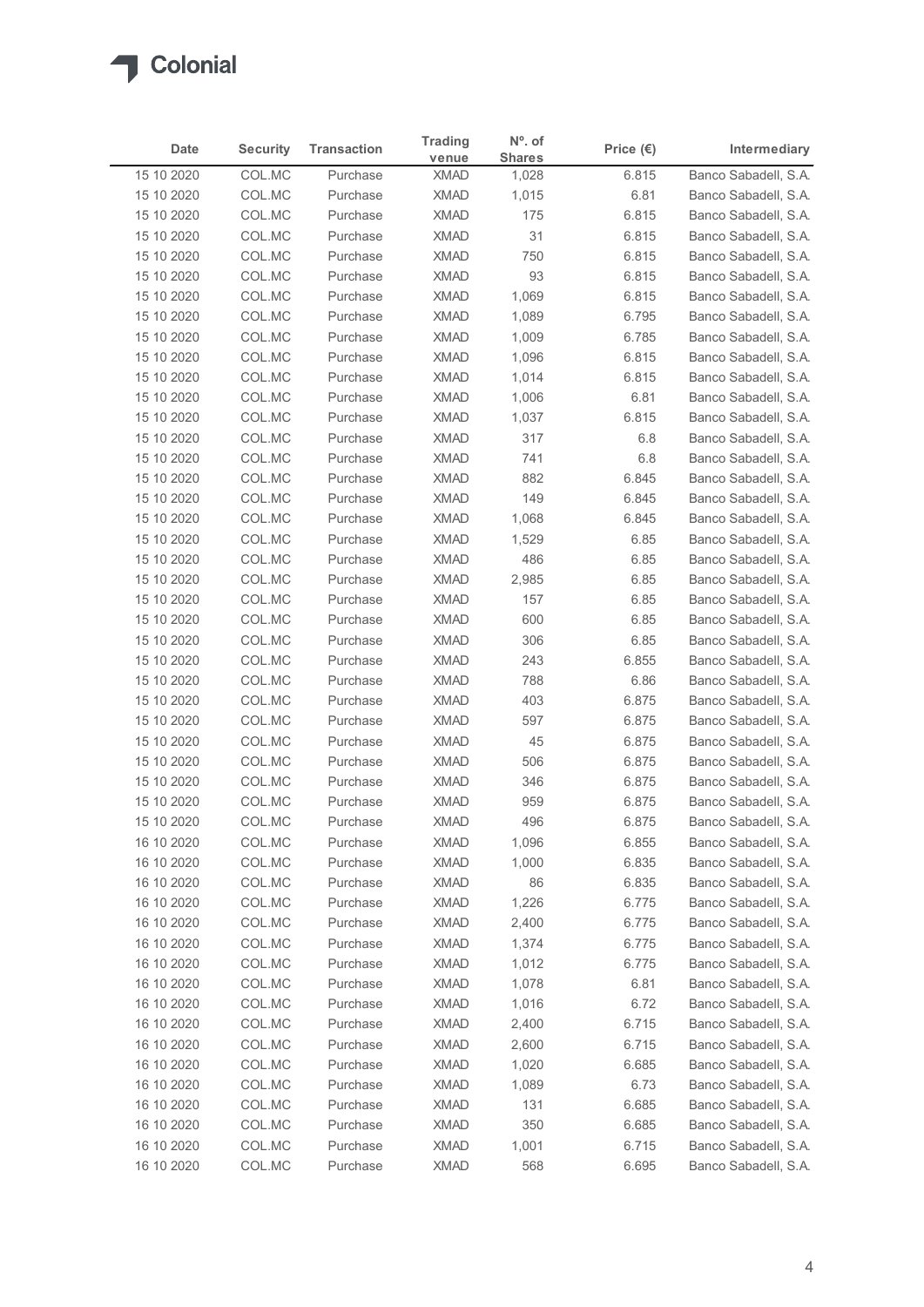

|                          |                  |                      | <b>Trading</b>             | $No$ . of      |                    |                                              |
|--------------------------|------------------|----------------------|----------------------------|----------------|--------------------|----------------------------------------------|
| Date                     | <b>Security</b>  | <b>Transaction</b>   | venue                      | <b>Shares</b>  | Price $(\epsilon)$ | Intermediary                                 |
| 15 10 2020<br>15 10 2020 | COL.MC<br>COL.MC | Purchase<br>Purchase | <b>XMAD</b><br><b>XMAD</b> | 1,028<br>1,015 | 6.815<br>6.81      | Banco Sabadell, S.A.<br>Banco Sabadell, S.A. |
| 15 10 2020               | COL.MC           | Purchase             | <b>XMAD</b>                | 175            | 6.815              | Banco Sabadell, S.A.                         |
| 15 10 2020               | COL.MC           | Purchase             | <b>XMAD</b>                | 31             | 6.815              | Banco Sabadell, S.A.                         |
| 15 10 2020               | COL.MC           | Purchase             | <b>XMAD</b>                | 750            | 6.815              | Banco Sabadell, S.A.                         |
| 15 10 2020               | COL.MC           | Purchase             | <b>XMAD</b>                | 93             | 6.815              | Banco Sabadell, S.A.                         |
| 15 10 2020               | COL.MC           | Purchase             | <b>XMAD</b>                | 1,069          | 6.815              | Banco Sabadell, S.A.                         |
| 15 10 2020<br>15 10 2020 | COL.MC<br>COL.MC | Purchase<br>Purchase | <b>XMAD</b><br><b>XMAD</b> | 1,089<br>1,009 | 6.795<br>6.785     | Banco Sabadell, S.A.<br>Banco Sabadell, S.A. |
| 15 10 2020               | COL.MC           | Purchase             | <b>XMAD</b>                | 1,096          | 6.815              | Banco Sabadell, S.A.                         |
| 15 10 2020               | COL.MC           | Purchase             | <b>XMAD</b>                | 1,014          | 6.815              | Banco Sabadell, S.A.                         |
| 15 10 2020               | COL.MC           | Purchase             | <b>XMAD</b>                | 1,006          | 6.81               | Banco Sabadell, S.A.                         |
| 15 10 2020               | COL.MC           | Purchase             | <b>XMAD</b>                | 1,037          | 6.815              | Banco Sabadell, S.A.                         |
| 15 10 2020               | COL.MC           | Purchase             | XMAD                       | 317            | 6.8                | Banco Sabadell, S.A.                         |
| 15 10 2020               | COL.MC           | Purchase             | <b>XMAD</b>                | 741            | 6.8                | Banco Sabadell, S.A.                         |
| 15 10 2020               | COL.MC           | Purchase             | <b>XMAD</b>                | 882            | 6.845              | Banco Sabadell, S.A.                         |
| 15 10 2020<br>15 10 2020 | COL.MC<br>COL.MC | Purchase<br>Purchase | XMAD<br>XMAD               | 149<br>1,068   | 6.845<br>6.845     | Banco Sabadell, S.A.<br>Banco Sabadell, S.A. |
| 15 10 2020               | COL.MC           | Purchase             | <b>XMAD</b>                | 1,529          | 6.85               | Banco Sabadell, S.A.                         |
| 15 10 2020               | COL.MC           | Purchase             | <b>XMAD</b>                | 486            | 6.85               | Banco Sabadell, S.A.                         |
| 15 10 2020               | COL.MC           | Purchase             | <b>XMAD</b>                | 2,985          | 6.85               | Banco Sabadell, S.A.                         |
| 15 10 2020               | COL.MC           | Purchase             | XMAD                       | 157            | 6.85               | Banco Sabadell, S.A.                         |
| 15 10 2020               | COL.MC           | Purchase             | <b>XMAD</b>                | 600            | 6.85               | Banco Sabadell, S.A.                         |
| 15 10 2020               | COL.MC           | Purchase             | <b>XMAD</b>                | 306            | 6.85               | Banco Sabadell, S.A.                         |
| 15 10 2020               | COL.MC           | Purchase             | XMAD                       | 243            | 6.855              | Banco Sabadell, S.A.                         |
| 15 10 2020<br>15 10 2020 | COL.MC<br>COL.MC | Purchase<br>Purchase | <b>XMAD</b><br><b>XMAD</b> | 788<br>403     | 6.86<br>6.875      | Banco Sabadell, S.A.<br>Banco Sabadell, S.A. |
| 15 10 2020               | COL.MC           | Purchase             | <b>XMAD</b>                | 597            | 6.875              | Banco Sabadell, S.A.                         |
| 15 10 2020               | COL.MC           | Purchase             | <b>XMAD</b>                | 45             | 6.875              | Banco Sabadell, S.A.                         |
| 15 10 2020               | COL.MC           | Purchase             | XMAD                       | 506            | 6.875              | Banco Sabadell, S.A.                         |
| 15 10 2020               | COL.MC           | Purchase             | <b>XMAD</b>                | 346            | 6.875              | Banco Sabadell, S.A.                         |
| 15 10 2020               | COL.MC           | Purchase             | <b>XMAD</b>                | 959            | 6.875              | Banco Sabadell, S.A.                         |
| 15 10 2020               | COL.MC           | Purchase             | <b>XMAD</b>                | 496            | 6.875              | Banco Sabadell, S.A.                         |
| 16 10 2020               | COL.MC           | Purchase             | <b>XMAD</b>                | 1,096          | 6.855              | Banco Sabadell, S.A.                         |
| 16 10 2020               | COL.MC           | Purchase<br>Purchase | <b>XMAD</b>                | 1,000          | 6.835              | Banco Sabadell, S.A.                         |
| 16 10 2020<br>16 10 2020 | COL.MC<br>COL.MC | Purchase             | <b>XMAD</b><br><b>XMAD</b> | 86<br>1,226    | 6.835<br>6.775     | Banco Sabadell, S.A.<br>Banco Sabadell, S.A. |
| 16 10 2020               | COL.MC           | Purchase             | <b>XMAD</b>                | 2,400          | 6.775              | Banco Sabadell, S.A.                         |
| 16 10 2020               | COL.MC           | Purchase             | <b>XMAD</b>                | 1,374          | 6.775              | Banco Sabadell, S.A.                         |
| 16 10 2020               | COL.MC           | Purchase             | <b>XMAD</b>                | 1,012          | 6.775              | Banco Sabadell, S.A.                         |
| 16 10 2020               | COL.MC           | Purchase             | <b>XMAD</b>                | 1,078          | 6.81               | Banco Sabadell, S.A.                         |
| 16 10 2020               | COL.MC           | Purchase             | <b>XMAD</b>                | 1,016          | 6.72               | Banco Sabadell, S.A.                         |
| 16 10 2020               | COL.MC           | Purchase             | <b>XMAD</b>                | 2,400          | 6.715              | Banco Sabadell, S.A.                         |
| 16 10 2020               | COL.MC           | Purchase             | <b>XMAD</b>                | 2,600          | 6.715              | Banco Sabadell, S.A.                         |
| 16 10 2020               | COL.MC           | Purchase             | <b>XMAD</b>                | 1,020          | 6.685              | Banco Sabadell, S.A.                         |
| 16 10 2020<br>16 10 2020 | COL.MC<br>COL.MC | Purchase<br>Purchase | XMAD<br><b>XMAD</b>        | 1,089<br>131   | 6.73<br>6.685      | Banco Sabadell, S.A.<br>Banco Sabadell, S.A. |
| 16 10 2020               | COL.MC           | Purchase             | <b>XMAD</b>                | 350            | 6.685              | Banco Sabadell, S.A.                         |
|                          | COL.MC           | Purchase             | <b>XMAD</b>                | 1,001          | 6.715              | Banco Sabadell, S.A.                         |
| 16 10 2020               | COL.MC           | Purchase             | <b>XMAD</b>                | 568            | 6.695              | Banco Sabadell, S.A.                         |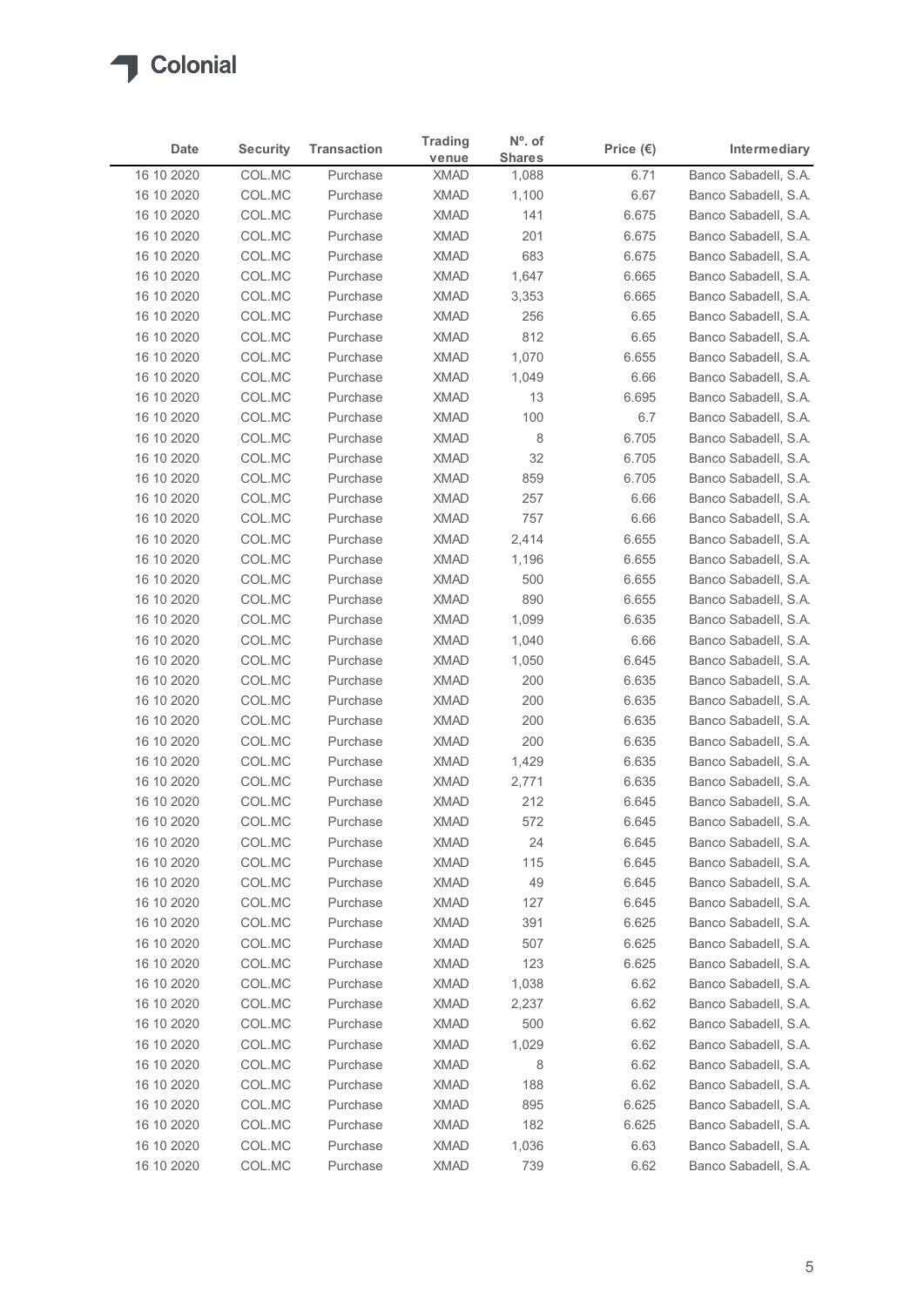

| <b>Date</b>              | <b>Security</b>  | <b>Transaction</b>   | <b>Trading</b>             | $No$ . of              | Price $(\epsilon)$ | Intermediary                                 |
|--------------------------|------------------|----------------------|----------------------------|------------------------|--------------------|----------------------------------------------|
| 16 10 2020               | COL.MC           | Purchase             | venue<br><b>XMAD</b>       | <b>Shares</b><br>1,088 | 6.71               | Banco Sabadell, S.A.                         |
| 16 10 2020               | COL.MC           | Purchase             | <b>XMAD</b>                | 1,100                  | 6.67               | Banco Sabadell, S.A.                         |
| 16 10 2020               | COL.MC           | Purchase             | <b>XMAD</b>                | 141                    | 6.675              | Banco Sabadell, S.A.                         |
| 16 10 2020               | COL.MC           | Purchase             | <b>XMAD</b>                | 201                    | 6.675              | Banco Sabadell, S.A.                         |
| 16 10 2020               | COL.MC           | Purchase             | <b>XMAD</b>                | 683                    | 6.675              | Banco Sabadell, S.A.                         |
| 16 10 2020               | COL.MC           | Purchase             | <b>XMAD</b>                | 1,647                  | 6.665              | Banco Sabadell, S.A.                         |
| 16 10 2020<br>16 10 2020 | COL.MC<br>COL.MC | Purchase<br>Purchase | <b>XMAD</b><br><b>XMAD</b> | 3,353<br>256           | 6.665<br>6.65      | Banco Sabadell, S.A.<br>Banco Sabadell, S.A. |
| 16 10 2020               | COL.MC           | Purchase             | <b>XMAD</b>                | 812                    | 6.65               | Banco Sabadell, S.A.                         |
| 16 10 2020               | COL.MC           | Purchase             | <b>XMAD</b>                | 1,070                  | 6.655              | Banco Sabadell, S.A.                         |
| 16 10 2020               | COL.MC           | Purchase             | <b>XMAD</b>                | 1,049                  | 6.66               | Banco Sabadell, S.A.                         |
| 16 10 2020               | COL.MC           | Purchase             | <b>XMAD</b>                | 13                     | 6.695              | Banco Sabadell, S.A.                         |
| 16 10 2020               | COL.MC           | Purchase             | <b>XMAD</b>                | 100                    | 6.7                | Banco Sabadell, S.A.                         |
| 16 10 2020               | COL.MC           | Purchase             | XMAD                       | 8                      | 6.705              | Banco Sabadell, S.A.<br>Banco Sabadell, S.A. |
| 16 10 2020<br>16 10 2020 | COL.MC<br>COL.MC | Purchase<br>Purchase | <b>XMAD</b><br><b>XMAD</b> | 32<br>859              | 6.705<br>6.705     | Banco Sabadell, S.A.                         |
| 16 10 2020               | COL.MC           | Purchase             | <b>XMAD</b>                | 257                    | 6.66               | Banco Sabadell, S.A.                         |
| 16 10 2020               | COL.MC           | Purchase             | <b>XMAD</b>                | 757                    | 6.66               | Banco Sabadell, S.A.                         |
| 16 10 2020               | COL.MC           | Purchase             | <b>XMAD</b>                | 2,414                  | 6.655              | Banco Sabadell, S.A.                         |
| 16 10 2020               | COL.MC           | Purchase             | <b>XMAD</b>                | 1,196                  | 6.655              | Banco Sabadell, S.A.                         |
| 16 10 2020               | COL.MC           | Purchase             | <b>XMAD</b>                | 500                    | 6.655              | Banco Sabadell, S.A.                         |
| 16 10 2020               | COL.MC           | Purchase             | XMAD                       | 890                    | 6.655              | Banco Sabadell, S.A.                         |
| 16 10 2020               | COL.MC           | Purchase<br>Purchase | <b>XMAD</b><br><b>XMAD</b> | 1,099<br>1,040         | 6.635              | Banco Sabadell, S.A.<br>Banco Sabadell, S.A. |
| 16 10 2020<br>16 10 2020 | COL.MC<br>COL.MC | Purchase             | XMAD                       | 1,050                  | 6.66<br>6.645      | Banco Sabadell, S.A.                         |
| 16 10 2020               | COL.MC           | Purchase             | <b>XMAD</b>                | 200                    | 6.635              | Banco Sabadell, S.A.                         |
| 16 10 2020               | COL.MC           | Purchase             | <b>XMAD</b>                | 200                    | 6.635              | Banco Sabadell, S.A.                         |
| 16 10 2020               | COL.MC           | Purchase             | <b>XMAD</b>                | 200                    | 6.635              | Banco Sabadell, S.A.                         |
| 16 10 2020               | COL.MC           | Purchase             | <b>XMAD</b>                | 200                    | 6.635              | Banco Sabadell, S.A.                         |
| 16 10 2020               | COL.MC           | Purchase             | XMAD                       | 1,429                  | 6.635              | Banco Sabadell, S.A.                         |
| 16 10 2020               | COL.MC           | Purchase             | <b>XMAD</b>                | 2,771                  | 6.635              | Banco Sabadell, S.A.                         |
| 16 10 2020               | COL.MC           | Purchase             | <b>XMAD</b>                | 212                    | 6.645              | Banco Sabadell, S.A.                         |
| 16 10 2020<br>16 10 2020 | COL.MC<br>COL.MC | Purchase<br>Purchase | <b>XMAD</b><br><b>XMAD</b> | 572<br>24              | 6.645<br>6.645     | Banco Sabadell, S.A.<br>Banco Sabadell, S.A. |
| 16 10 2020               | COL.MC           | Purchase             | <b>XMAD</b>                | 115                    | 6.645              | Banco Sabadell, S.A.                         |
| 16 10 2020               | COL.MC           | Purchase             | XMAD                       | 49                     | 6.645              | Banco Sabadell, S.A.                         |
| 16 10 2020               | COL.MC           | Purchase             | <b>XMAD</b>                | 127                    | 6.645              | Banco Sabadell, S.A.                         |
| 16 10 2020               | COL.MC           | Purchase             | <b>XMAD</b>                | 391                    | 6.625              | Banco Sabadell, S.A.                         |
| 16 10 2020               | COL.MC           | Purchase             | <b>XMAD</b>                | 507                    | 6.625              | Banco Sabadell, S.A.                         |
| 16 10 2020               | COL.MC           | Purchase             | <b>XMAD</b>                | 123                    | 6.625              | Banco Sabadell, S.A.                         |
| 16 10 2020               | COL.MC           | Purchase             | <b>XMAD</b>                | 1,038                  | 6.62               | Banco Sabadell, S.A.                         |
| 16 10 2020               | COL.MC           | Purchase             | <b>XMAD</b>                | 2,237                  | 6.62               | Banco Sabadell, S.A.                         |
| 16 10 2020               | COL.MC           | Purchase             | <b>XMAD</b>                | 500                    | 6.62               | Banco Sabadell, S.A.                         |
| 16 10 2020<br>16 10 2020 | COL.MC<br>COL.MC | Purchase<br>Purchase | <b>XMAD</b><br><b>XMAD</b> | 1,029<br>8             | 6.62<br>6.62       | Banco Sabadell, S.A.<br>Banco Sabadell, S.A. |
| 16 10 2020               | COL.MC           | Purchase             | XMAD                       | 188                    | 6.62               | Banco Sabadell, S.A.                         |
| 16 10 2020               | COL.MC           | Purchase             | <b>XMAD</b>                | 895                    | 6.625              | Banco Sabadell, S.A.                         |
| 16 10 2020               | COL.MC           | Purchase             | <b>XMAD</b>                | 182                    | 6.625              | Banco Sabadell, S.A.                         |
| 16 10 2020               | COL.MC           | Purchase             | <b>XMAD</b>                | 1,036                  | 6.63               | Banco Sabadell, S.A.                         |
|                          | COL.MC           | Purchase             | XMAD                       | 739                    | 6.62               | Banco Sabadell, S.A.                         |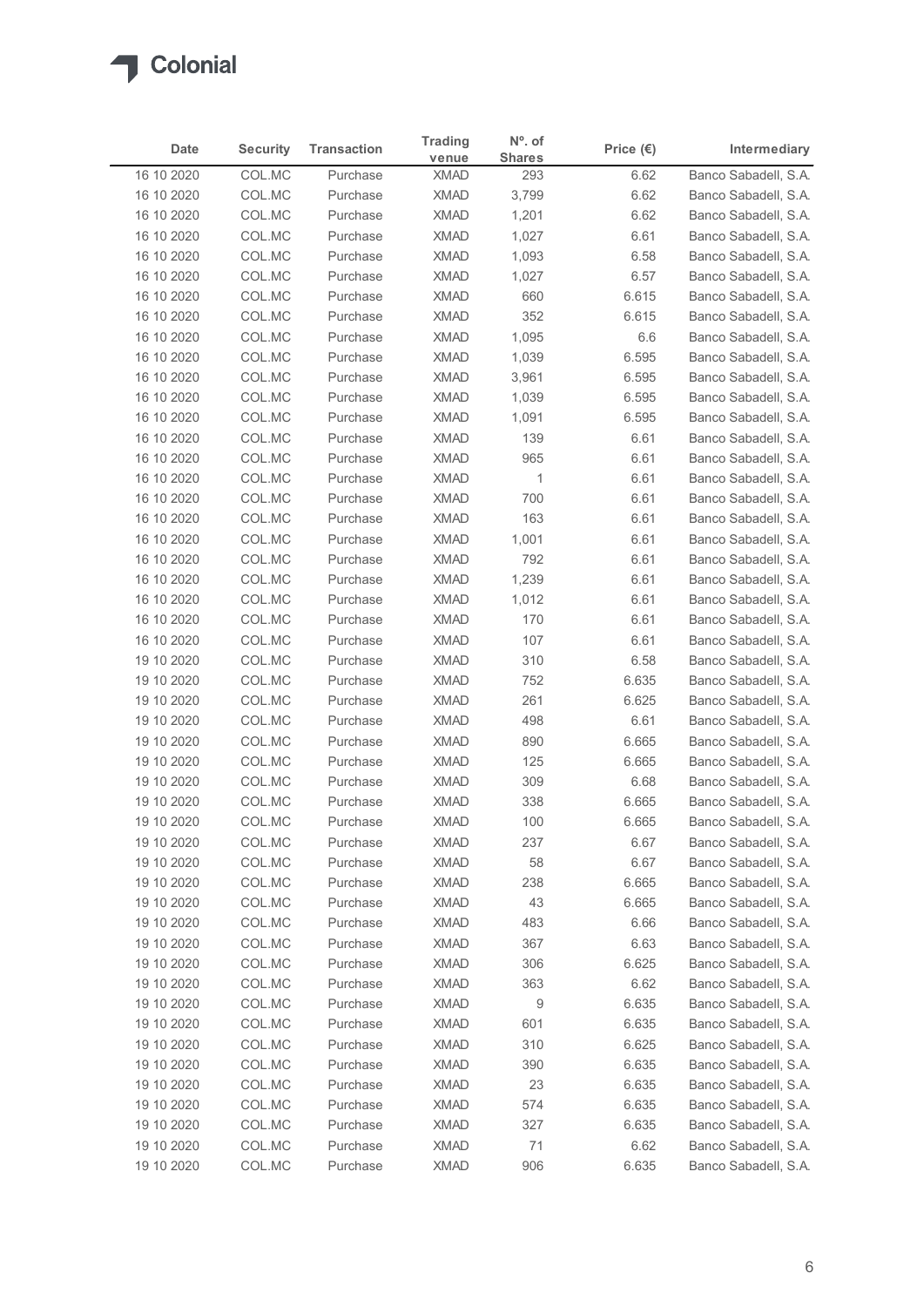

| Date                     |                  |                      | <b>Trading</b>             | $No$ . of      |                    |                                              |
|--------------------------|------------------|----------------------|----------------------------|----------------|--------------------|----------------------------------------------|
|                          | <b>Security</b>  | <b>Transaction</b>   | venue                      | <b>Shares</b>  | Price $(\epsilon)$ | Intermediary                                 |
| 16 10 2020               | COL.MC           | Purchase             | <b>XMAD</b>                | 293            | 6.62               | Banco Sabadell, S.A.                         |
| 16 10 2020               | COL.MC           | Purchase             | <b>XMAD</b>                | 3,799          | 6.62               | Banco Sabadell, S.A.                         |
| 16 10 2020<br>16 10 2020 | COL.MC<br>COL.MC | Purchase<br>Purchase | <b>XMAD</b><br><b>XMAD</b> | 1,201<br>1,027 | 6.62<br>6.61       | Banco Sabadell, S.A.<br>Banco Sabadell, S.A. |
| 16 10 2020               | COL.MC           | Purchase             | XMAD                       | 1,093          | 6.58               | Banco Sabadell, S.A.                         |
| 16 10 2020               | COL.MC           | Purchase             | <b>XMAD</b>                | 1,027          | 6.57               | Banco Sabadell, S.A.                         |
| 16 10 2020               | COL.MC           | Purchase             | <b>XMAD</b>                | 660            | 6.615              | Banco Sabadell, S.A.                         |
| 16 10 2020               | COL.MC           | Purchase             | <b>XMAD</b>                | 352            | 6.615              | Banco Sabadell, S.A.                         |
| 16 10 2020               | COL.MC           | Purchase             | <b>XMAD</b>                | 1,095          | 6.6                | Banco Sabadell, S.A.                         |
| 16 10 2020               | COL.MC           | Purchase             | <b>XMAD</b>                | 1,039          | 6.595              | Banco Sabadell, S.A.                         |
| 16 10 2020               | COL.MC           | Purchase             | <b>XMAD</b>                | 3,961          | 6.595              | Banco Sabadell, S.A.                         |
| 16 10 2020               | COL.MC           | Purchase             | <b>XMAD</b>                | 1,039          | 6.595              | Banco Sabadell, S.A.                         |
| 16 10 2020               | COL.MC<br>COL.MC | Purchase             | <b>XMAD</b>                | 1,091          | 6.595              | Banco Sabadell, S.A.                         |
| 16 10 2020<br>16 10 2020 | COL.MC           | Purchase<br>Purchase | XMAD<br>XMAD               | 139<br>965     | 6.61<br>6.61       | Banco Sabadell, S.A.<br>Banco Sabadell, S.A. |
| 16 10 2020               | COL.MC           | Purchase             | XMAD                       | $\overline{1}$ | 6.61               | Banco Sabadell, S.A.                         |
| 16 10 2020               | COL.MC           | Purchase             | <b>XMAD</b>                | 700            | 6.61               | Banco Sabadell, S.A.                         |
| 16 10 2020               | COL.MC           | Purchase             | <b>XMAD</b>                | 163            | 6.61               | Banco Sabadell, S.A.                         |
| 16 10 2020               | COL.MC           | Purchase             | <b>XMAD</b>                | 1,001          | 6.61               | Banco Sabadell, S.A.                         |
| 16 10 2020               | COL.MC           | Purchase             | <b>XMAD</b>                | 792            | 6.61               | Banco Sabadell, S.A.                         |
| 16 10 2020               | COL.MC           | Purchase             | <b>XMAD</b>                | 1,239          | 6.61               | Banco Sabadell, S.A.                         |
| 16 10 2020               | COL.MC           | Purchase             | <b>XMAD</b>                | 1,012          | 6.61               | Banco Sabadell, S.A.                         |
| 16 10 2020               | COL.MC           | Purchase             | <b>XMAD</b>                | 170            | 6.61               | Banco Sabadell, S.A.                         |
| 16 10 2020               | COL.MC           | Purchase             | XMAD                       | 107            | 6.61               | Banco Sabadell, S.A.                         |
| 19 10 2020               | COL.MC           | Purchase             | <b>XMAD</b>                | 310            | 6.58               | Banco Sabadell, S.A.                         |
| 19 10 2020               | COL.MC           | Purchase             | <b>XMAD</b>                | 752            | 6.635              | Banco Sabadell, S.A.                         |
| 19 10 2020               | COL.MC           | Purchase             | XMAD                       | 261            | 6.625              | Banco Sabadell, S.A.                         |
| 19 10 2020<br>19 10 2020 | COL.MC<br>COL.MC | Purchase<br>Purchase | XMAD<br><b>XMAD</b>        | 498<br>890     | 6.61<br>6.665      | Banco Sabadell, S.A.<br>Banco Sabadell, S.A. |
| 19 10 2020               | COL.MC           | Purchase             | <b>XMAD</b>                | 125            | 6.665              | Banco Sabadell, S.A.                         |
| 19 10 2020               | COL.MC           | Purchase             | <b>XMAD</b>                | 309            | 6.68               | Banco Sabadell, S.A.                         |
| 19 10 2020               | COL.MC           | Purchase             | <b>XMAD</b>                | 338            | 6.665              | Banco Sabadell, S.A.                         |
| 19 10 2020               | COL.MC           | Purchase             | XMAD                       | 100            | 6.665              | Banco Sabadell, S.A.                         |
| 19 10 2020               | COL.MC           | Purchase             | <b>XMAD</b>                | 237            | 6.67               | Banco Sabadell, S.A.                         |
| 19 10 2020               | COL.MC           | Purchase             | XMAD                       | 58             | 6.67               | Banco Sabadell, S.A.                         |
| 19 10 2020               | COL.MC           | Purchase             | <b>XMAD</b>                | 238            | 6.665              | Banco Sabadell, S.A.                         |
| 19 10 2020               | COL.MC           | Purchase             | <b>XMAD</b>                | 43             | 6.665              | Banco Sabadell, S.A.                         |
| 19 10 2020               | COL.MC           | Purchase             | <b>XMAD</b>                | 483            | 6.66               | Banco Sabadell, S.A.                         |
| 19 10 2020               | COL.MC           | Purchase             | XMAD                       | 367            | 6.63               | Banco Sabadell, S.A.                         |
| 19 10 2020               | COL.MC           | Purchase             | <b>XMAD</b>                | 306            | 6.625              | Banco Sabadell, S.A.                         |
| 19 10 2020               | COL.MC           | Purchase             | <b>XMAD</b>                | 363            | 6.62               | Banco Sabadell, S.A.                         |
| 19 10 2020               | COL.MC           | Purchase             | <b>XMAD</b>                | 9              | 6.635              | Banco Sabadell, S.A.                         |
| 19 10 2020               | COL.MC           | Purchase             | <b>XMAD</b>                | 601            | 6.635              | Banco Sabadell, S.A.                         |
| 19 10 2020               | COL.MC           | Purchase             | <b>XMAD</b>                | 310            | 6.625              | Banco Sabadell, S.A.                         |
| 19 10 2020               | COL.MC           | Purchase             | XMAD                       | 390            | 6.635              | Banco Sabadell, S.A.                         |
| 19 10 2020               | COL.MC           | Purchase             | XMAD                       | 23             | 6.635              | Banco Sabadell, S.A.                         |
| 19 10 2020<br>19 10 2020 | COL.MC           | Purchase             | <b>XMAD</b>                | 574            | 6.635              | Banco Sabadell, S.A.                         |
|                          | COL.MC<br>COL.MC | Purchase<br>Purchase | <b>XMAD</b><br><b>XMAD</b> | 327<br>$71$    | 6.635<br>6.62      | Banco Sabadell, S.A.<br>Banco Sabadell, S.A. |
| 19 10 2020               |                  |                      |                            |                |                    |                                              |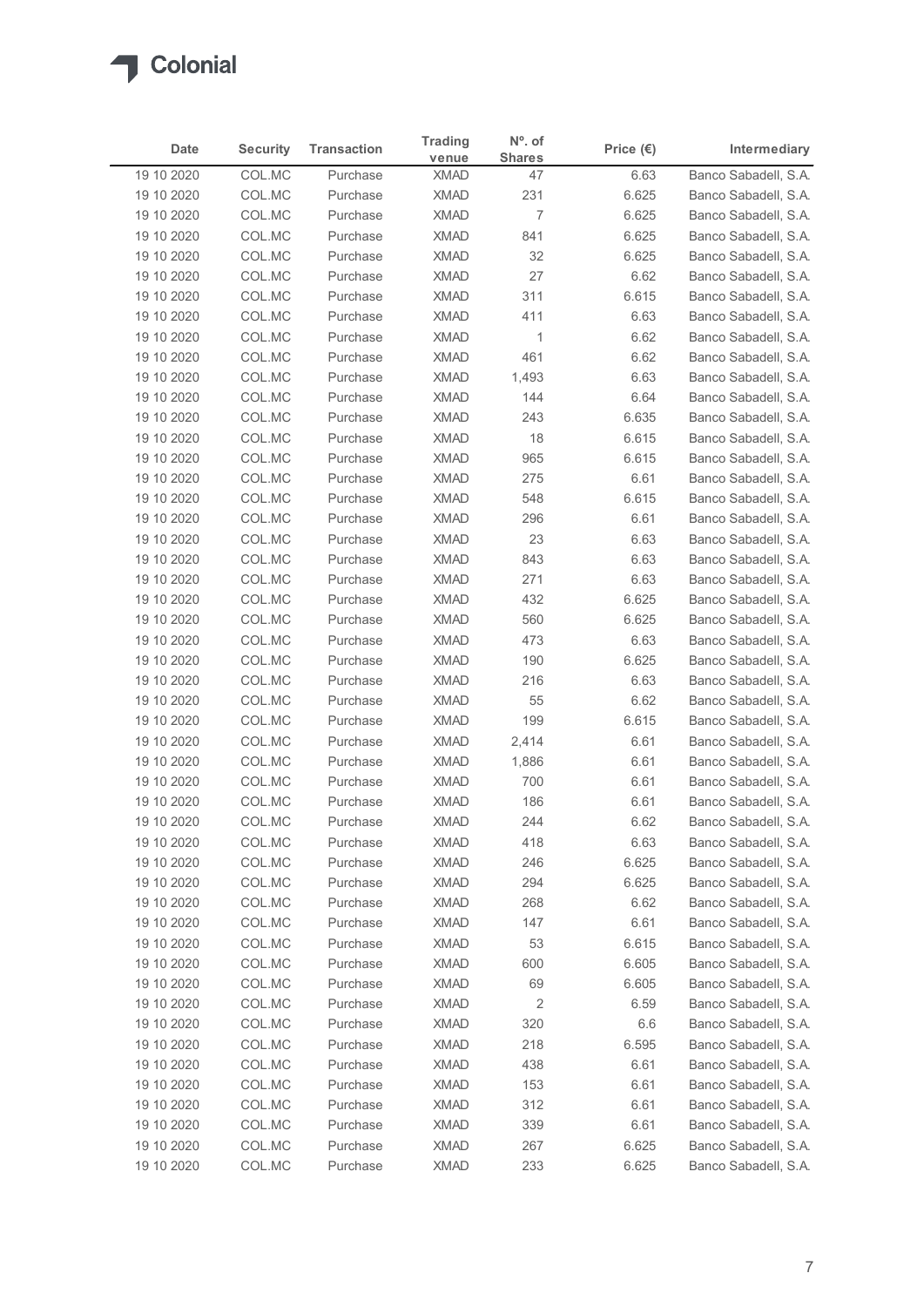

| <b>Date</b><br><b>Security</b><br><b>Transaction</b><br>Price $(\epsilon)$<br>Intermediary<br><b>Shares</b><br>venue<br>COL.MC<br>19 10 2020<br><b>XMAD</b><br>47<br>6.63<br>Purchase<br>COL.MC<br>231<br>19 10 2020<br>Purchase<br><b>XMAD</b><br>6.625<br>COL.MC<br><b>XMAD</b><br>7<br>6.625<br>19 10 2020<br>Purchase<br><b>XMAD</b><br>841<br>19 10 2020<br>COL.MC<br>Purchase<br>6.625<br>COL.MC<br><b>XMAD</b><br>32<br>19 10 2020<br>Purchase<br>6.625<br>COL.MC<br><b>XMAD</b><br>27<br>19 10 2020<br>Purchase<br>6.62<br>COL.MC<br><b>XMAD</b><br>311<br>19 10 2020<br>Purchase<br>6.615<br>COL.MC<br>411<br>19 10 2020<br>Purchase<br><b>XMAD</b><br>6.63<br>COL.MC<br>19 10 2020<br><b>XMAD</b><br>6.62<br>Purchase<br>$\overline{1}$<br>COL.MC<br><b>XMAD</b><br>461<br>19 10 2020<br>Purchase<br>6.62<br>COL.MC<br><b>XMAD</b><br>19 10 2020<br>Purchase<br>1,493<br>6.63<br>COL.MC<br><b>XMAD</b><br>19 10 2020<br>Purchase<br>144<br>6.64<br><b>XMAD</b><br>243<br>19 10 2020<br>COL.MC<br>Purchase<br>6.635<br>18<br>19 10 2020<br>COL.MC<br>XMAD<br>6.615<br>Purchase<br>19 10 2020<br>6.615<br>COL.MC<br>Purchase<br>XMAD<br>965<br>COL.MC<br>XMAD<br>275<br>19 10 2020<br>Purchase<br>6.61<br>COL.MC<br>XMAD<br>6.615<br>19 10 2020<br>Purchase<br>548<br>COL.MC<br><b>XMAD</b><br>19 10 2020<br>Purchase<br>296<br>6.61<br>COL.MC<br><b>XMAD</b><br>23<br>19 10 2020<br>Purchase<br>6.63<br>COL.MC<br>843<br>19 10 2020<br>Purchase<br><b>XMAD</b><br>6.63<br>271<br>19 10 2020<br>COL.MC<br>Purchase<br>XMAD<br>6.63<br>COL.MC<br>XMAD<br>432<br>6.625<br>19 10 2020<br>Purchase<br>6.625<br>19 10 2020<br>COL.MC<br>Purchase<br>XMAD<br>560<br>19 10 2020<br>COL.MC<br>Purchase<br>XMAD<br>473<br>6.63<br>COL.MC<br><b>XMAD</b><br>19 10 2020<br>Purchase<br>190<br>6.625<br>19 10 2020<br>COL.MC<br><b>XMAD</b><br>216<br>6.63<br>Purchase<br>55<br>19 10 2020<br>COL.MC<br>XMAD<br>6.62<br>Purchase<br>COL.MC<br>XMAD<br>199<br>6.615<br>19 10 2020<br>Purchase<br>COL.MC<br>XMAD<br>19 10 2020<br>Purchase<br>2,414<br>6.61<br>COL.MC<br><b>XMAD</b><br>19 10 2020<br>Purchase<br>1,886<br>6.61<br>COL.MC<br><b>XMAD</b><br>19 10 2020<br>Purchase<br>700<br>6.61<br><b>XMAD</b><br>186<br>19 10 2020<br>COL.MC<br>Purchase<br>6.61<br>XMAD<br>244<br>19 10 2020<br>COL.MC<br>Purchase<br>6.62<br>COL.MC<br>XMAD<br>418<br>6.63<br>19 10 2020<br>Purchase<br>XMAD<br>6.625<br>19 10 2020<br>COL.MC<br>Purchase<br>246<br>19 10 2020<br>COL.MC<br>Purchase<br><b>XMAD</b><br>294<br>6.625<br>COL.MC<br><b>XMAD</b><br>19 10 2020<br>Purchase<br>268<br>6.62<br>COL.MC<br><b>XMAD</b><br>147<br>19 10 2020<br>6.61<br>Purchase<br>XMAD<br>6.615<br>19 10 2020<br>COL.MC<br>Purchase<br>53<br>COL.MC<br><b>XMAD</b><br>6.605<br>19 10 2020<br>Purchase<br>600<br>COL.MC<br><b>XMAD</b><br>69<br>19 10 2020<br>Purchase<br>6.605<br>2<br>19 10 2020<br>COL.MC<br>Purchase<br><b>XMAD</b><br>6.59<br>COL.MC<br>19 10 2020<br>Purchase<br><b>XMAD</b><br>320<br>6.6<br>COL.MC<br>218<br>6.595<br>19 10 2020<br>Purchase<br><b>XMAD</b><br>COL.MC<br>XMAD<br>438<br>19 10 2020<br>Purchase<br>6.61<br>XMAD<br>19 10 2020<br>COL.MC<br>Purchase<br>153<br>6.61<br><b>XMAD</b><br>312<br>19 10 2020<br>COL.MC<br>Purchase<br>6.61<br>COL.MC<br><b>XMAD</b><br>339<br>19 10 2020<br>Purchase<br>6.61<br>COL.MC<br>19 10 2020<br>Purchase<br><b>XMAD</b><br>267<br>6.625<br>19 10 2020<br>COL.MC<br>XMAD<br>233<br>6.625<br>Purchase |  |                |           |  |
|-----------------------------------------------------------------------------------------------------------------------------------------------------------------------------------------------------------------------------------------------------------------------------------------------------------------------------------------------------------------------------------------------------------------------------------------------------------------------------------------------------------------------------------------------------------------------------------------------------------------------------------------------------------------------------------------------------------------------------------------------------------------------------------------------------------------------------------------------------------------------------------------------------------------------------------------------------------------------------------------------------------------------------------------------------------------------------------------------------------------------------------------------------------------------------------------------------------------------------------------------------------------------------------------------------------------------------------------------------------------------------------------------------------------------------------------------------------------------------------------------------------------------------------------------------------------------------------------------------------------------------------------------------------------------------------------------------------------------------------------------------------------------------------------------------------------------------------------------------------------------------------------------------------------------------------------------------------------------------------------------------------------------------------------------------------------------------------------------------------------------------------------------------------------------------------------------------------------------------------------------------------------------------------------------------------------------------------------------------------------------------------------------------------------------------------------------------------------------------------------------------------------------------------------------------------------------------------------------------------------------------------------------------------------------------------------------------------------------------------------------------------------------------------------------------------------------------------------------------------------------------------------------------------------------------------------------------------------------------------------------------------------------------------------------------------------------------------------------------------------------------------------------------------------------------------------------------------------------------------------------------------------------------------------------------------------------------------------------------------------------------------------------------------------------------------------------------|--|----------------|-----------|--|
| Banco Sabadell, S.A.<br>Banco Sabadell, S.A.<br>Banco Sabadell, S.A.<br>Banco Sabadell, S.A.<br>Banco Sabadell, S.A.<br>Banco Sabadell, S.A.<br>Banco Sabadell, S.A.<br>Banco Sabadell, S.A.<br>Banco Sabadell, S.A.<br>Banco Sabadell, S.A.<br>Banco Sabadell, S.A.<br>Banco Sabadell, S.A.<br>Banco Sabadell, S.A.<br>Banco Sabadell, S.A.<br>Banco Sabadell, S.A.<br>Banco Sabadell, S.A.<br>Banco Sabadell, S.A.<br>Banco Sabadell, S.A.<br>Banco Sabadell, S.A.<br>Banco Sabadell, S.A.<br>Banco Sabadell, S.A.<br>Banco Sabadell, S.A.<br>Banco Sabadell, S.A.<br>Banco Sabadell, S.A.<br>Banco Sabadell, S.A.<br>Banco Sabadell, S.A.<br>Banco Sabadell, S.A.<br>Banco Sabadell, S.A.<br>Banco Sabadell, S.A.<br>Banco Sabadell, S.A.<br>Banco Sabadell, S.A.<br>Banco Sabadell, S.A.<br>Banco Sabadell, S.A.<br>Banco Sabadell, S.A.<br>Banco Sabadell, S.A.<br>Banco Sabadell, S.A.<br>Banco Sabadell, S.A.<br>Banco Sabadell, S.A.<br>Banco Sabadell, S.A.<br>Banco Sabadell, S.A.<br>Banco Sabadell, S.A.<br>Banco Sabadell, S.A.<br>Banco Sabadell, S.A.<br>Banco Sabadell, S.A.<br>Banco Sabadell, S.A.<br>Banco Sabadell, S.A.<br>Banco Sabadell, S.A.<br>Banco Sabadell, S.A.<br>Banco Sabadell, S.A.<br>Banco Sabadell, S.A.                                                                                                                                                                                                                                                                                                                                                                                                                                                                                                                                                                                                                                                                                                                                                                                                                                                                                                                                                                                                                                                                                                                                                                                                                                                                                                                                                                                                                                                                                                                                                                                                                                                                                                                                                                                                                                                                                                                                                                                                                                                                                                                                                                                                        |  | <b>Trading</b> | $No$ . of |  |
|                                                                                                                                                                                                                                                                                                                                                                                                                                                                                                                                                                                                                                                                                                                                                                                                                                                                                                                                                                                                                                                                                                                                                                                                                                                                                                                                                                                                                                                                                                                                                                                                                                                                                                                                                                                                                                                                                                                                                                                                                                                                                                                                                                                                                                                                                                                                                                                                                                                                                                                                                                                                                                                                                                                                                                                                                                                                                                                                                                                                                                                                                                                                                                                                                                                                                                                                                                                                                                                     |  |                |           |  |
|                                                                                                                                                                                                                                                                                                                                                                                                                                                                                                                                                                                                                                                                                                                                                                                                                                                                                                                                                                                                                                                                                                                                                                                                                                                                                                                                                                                                                                                                                                                                                                                                                                                                                                                                                                                                                                                                                                                                                                                                                                                                                                                                                                                                                                                                                                                                                                                                                                                                                                                                                                                                                                                                                                                                                                                                                                                                                                                                                                                                                                                                                                                                                                                                                                                                                                                                                                                                                                                     |  |                |           |  |
|                                                                                                                                                                                                                                                                                                                                                                                                                                                                                                                                                                                                                                                                                                                                                                                                                                                                                                                                                                                                                                                                                                                                                                                                                                                                                                                                                                                                                                                                                                                                                                                                                                                                                                                                                                                                                                                                                                                                                                                                                                                                                                                                                                                                                                                                                                                                                                                                                                                                                                                                                                                                                                                                                                                                                                                                                                                                                                                                                                                                                                                                                                                                                                                                                                                                                                                                                                                                                                                     |  |                |           |  |
|                                                                                                                                                                                                                                                                                                                                                                                                                                                                                                                                                                                                                                                                                                                                                                                                                                                                                                                                                                                                                                                                                                                                                                                                                                                                                                                                                                                                                                                                                                                                                                                                                                                                                                                                                                                                                                                                                                                                                                                                                                                                                                                                                                                                                                                                                                                                                                                                                                                                                                                                                                                                                                                                                                                                                                                                                                                                                                                                                                                                                                                                                                                                                                                                                                                                                                                                                                                                                                                     |  |                |           |  |
|                                                                                                                                                                                                                                                                                                                                                                                                                                                                                                                                                                                                                                                                                                                                                                                                                                                                                                                                                                                                                                                                                                                                                                                                                                                                                                                                                                                                                                                                                                                                                                                                                                                                                                                                                                                                                                                                                                                                                                                                                                                                                                                                                                                                                                                                                                                                                                                                                                                                                                                                                                                                                                                                                                                                                                                                                                                                                                                                                                                                                                                                                                                                                                                                                                                                                                                                                                                                                                                     |  |                |           |  |
|                                                                                                                                                                                                                                                                                                                                                                                                                                                                                                                                                                                                                                                                                                                                                                                                                                                                                                                                                                                                                                                                                                                                                                                                                                                                                                                                                                                                                                                                                                                                                                                                                                                                                                                                                                                                                                                                                                                                                                                                                                                                                                                                                                                                                                                                                                                                                                                                                                                                                                                                                                                                                                                                                                                                                                                                                                                                                                                                                                                                                                                                                                                                                                                                                                                                                                                                                                                                                                                     |  |                |           |  |
|                                                                                                                                                                                                                                                                                                                                                                                                                                                                                                                                                                                                                                                                                                                                                                                                                                                                                                                                                                                                                                                                                                                                                                                                                                                                                                                                                                                                                                                                                                                                                                                                                                                                                                                                                                                                                                                                                                                                                                                                                                                                                                                                                                                                                                                                                                                                                                                                                                                                                                                                                                                                                                                                                                                                                                                                                                                                                                                                                                                                                                                                                                                                                                                                                                                                                                                                                                                                                                                     |  |                |           |  |
|                                                                                                                                                                                                                                                                                                                                                                                                                                                                                                                                                                                                                                                                                                                                                                                                                                                                                                                                                                                                                                                                                                                                                                                                                                                                                                                                                                                                                                                                                                                                                                                                                                                                                                                                                                                                                                                                                                                                                                                                                                                                                                                                                                                                                                                                                                                                                                                                                                                                                                                                                                                                                                                                                                                                                                                                                                                                                                                                                                                                                                                                                                                                                                                                                                                                                                                                                                                                                                                     |  |                |           |  |
|                                                                                                                                                                                                                                                                                                                                                                                                                                                                                                                                                                                                                                                                                                                                                                                                                                                                                                                                                                                                                                                                                                                                                                                                                                                                                                                                                                                                                                                                                                                                                                                                                                                                                                                                                                                                                                                                                                                                                                                                                                                                                                                                                                                                                                                                                                                                                                                                                                                                                                                                                                                                                                                                                                                                                                                                                                                                                                                                                                                                                                                                                                                                                                                                                                                                                                                                                                                                                                                     |  |                |           |  |
|                                                                                                                                                                                                                                                                                                                                                                                                                                                                                                                                                                                                                                                                                                                                                                                                                                                                                                                                                                                                                                                                                                                                                                                                                                                                                                                                                                                                                                                                                                                                                                                                                                                                                                                                                                                                                                                                                                                                                                                                                                                                                                                                                                                                                                                                                                                                                                                                                                                                                                                                                                                                                                                                                                                                                                                                                                                                                                                                                                                                                                                                                                                                                                                                                                                                                                                                                                                                                                                     |  |                |           |  |
|                                                                                                                                                                                                                                                                                                                                                                                                                                                                                                                                                                                                                                                                                                                                                                                                                                                                                                                                                                                                                                                                                                                                                                                                                                                                                                                                                                                                                                                                                                                                                                                                                                                                                                                                                                                                                                                                                                                                                                                                                                                                                                                                                                                                                                                                                                                                                                                                                                                                                                                                                                                                                                                                                                                                                                                                                                                                                                                                                                                                                                                                                                                                                                                                                                                                                                                                                                                                                                                     |  |                |           |  |
|                                                                                                                                                                                                                                                                                                                                                                                                                                                                                                                                                                                                                                                                                                                                                                                                                                                                                                                                                                                                                                                                                                                                                                                                                                                                                                                                                                                                                                                                                                                                                                                                                                                                                                                                                                                                                                                                                                                                                                                                                                                                                                                                                                                                                                                                                                                                                                                                                                                                                                                                                                                                                                                                                                                                                                                                                                                                                                                                                                                                                                                                                                                                                                                                                                                                                                                                                                                                                                                     |  |                |           |  |
|                                                                                                                                                                                                                                                                                                                                                                                                                                                                                                                                                                                                                                                                                                                                                                                                                                                                                                                                                                                                                                                                                                                                                                                                                                                                                                                                                                                                                                                                                                                                                                                                                                                                                                                                                                                                                                                                                                                                                                                                                                                                                                                                                                                                                                                                                                                                                                                                                                                                                                                                                                                                                                                                                                                                                                                                                                                                                                                                                                                                                                                                                                                                                                                                                                                                                                                                                                                                                                                     |  |                |           |  |
|                                                                                                                                                                                                                                                                                                                                                                                                                                                                                                                                                                                                                                                                                                                                                                                                                                                                                                                                                                                                                                                                                                                                                                                                                                                                                                                                                                                                                                                                                                                                                                                                                                                                                                                                                                                                                                                                                                                                                                                                                                                                                                                                                                                                                                                                                                                                                                                                                                                                                                                                                                                                                                                                                                                                                                                                                                                                                                                                                                                                                                                                                                                                                                                                                                                                                                                                                                                                                                                     |  |                |           |  |
|                                                                                                                                                                                                                                                                                                                                                                                                                                                                                                                                                                                                                                                                                                                                                                                                                                                                                                                                                                                                                                                                                                                                                                                                                                                                                                                                                                                                                                                                                                                                                                                                                                                                                                                                                                                                                                                                                                                                                                                                                                                                                                                                                                                                                                                                                                                                                                                                                                                                                                                                                                                                                                                                                                                                                                                                                                                                                                                                                                                                                                                                                                                                                                                                                                                                                                                                                                                                                                                     |  |                |           |  |
|                                                                                                                                                                                                                                                                                                                                                                                                                                                                                                                                                                                                                                                                                                                                                                                                                                                                                                                                                                                                                                                                                                                                                                                                                                                                                                                                                                                                                                                                                                                                                                                                                                                                                                                                                                                                                                                                                                                                                                                                                                                                                                                                                                                                                                                                                                                                                                                                                                                                                                                                                                                                                                                                                                                                                                                                                                                                                                                                                                                                                                                                                                                                                                                                                                                                                                                                                                                                                                                     |  |                |           |  |
|                                                                                                                                                                                                                                                                                                                                                                                                                                                                                                                                                                                                                                                                                                                                                                                                                                                                                                                                                                                                                                                                                                                                                                                                                                                                                                                                                                                                                                                                                                                                                                                                                                                                                                                                                                                                                                                                                                                                                                                                                                                                                                                                                                                                                                                                                                                                                                                                                                                                                                                                                                                                                                                                                                                                                                                                                                                                                                                                                                                                                                                                                                                                                                                                                                                                                                                                                                                                                                                     |  |                |           |  |
|                                                                                                                                                                                                                                                                                                                                                                                                                                                                                                                                                                                                                                                                                                                                                                                                                                                                                                                                                                                                                                                                                                                                                                                                                                                                                                                                                                                                                                                                                                                                                                                                                                                                                                                                                                                                                                                                                                                                                                                                                                                                                                                                                                                                                                                                                                                                                                                                                                                                                                                                                                                                                                                                                                                                                                                                                                                                                                                                                                                                                                                                                                                                                                                                                                                                                                                                                                                                                                                     |  |                |           |  |
|                                                                                                                                                                                                                                                                                                                                                                                                                                                                                                                                                                                                                                                                                                                                                                                                                                                                                                                                                                                                                                                                                                                                                                                                                                                                                                                                                                                                                                                                                                                                                                                                                                                                                                                                                                                                                                                                                                                                                                                                                                                                                                                                                                                                                                                                                                                                                                                                                                                                                                                                                                                                                                                                                                                                                                                                                                                                                                                                                                                                                                                                                                                                                                                                                                                                                                                                                                                                                                                     |  |                |           |  |
|                                                                                                                                                                                                                                                                                                                                                                                                                                                                                                                                                                                                                                                                                                                                                                                                                                                                                                                                                                                                                                                                                                                                                                                                                                                                                                                                                                                                                                                                                                                                                                                                                                                                                                                                                                                                                                                                                                                                                                                                                                                                                                                                                                                                                                                                                                                                                                                                                                                                                                                                                                                                                                                                                                                                                                                                                                                                                                                                                                                                                                                                                                                                                                                                                                                                                                                                                                                                                                                     |  |                |           |  |
|                                                                                                                                                                                                                                                                                                                                                                                                                                                                                                                                                                                                                                                                                                                                                                                                                                                                                                                                                                                                                                                                                                                                                                                                                                                                                                                                                                                                                                                                                                                                                                                                                                                                                                                                                                                                                                                                                                                                                                                                                                                                                                                                                                                                                                                                                                                                                                                                                                                                                                                                                                                                                                                                                                                                                                                                                                                                                                                                                                                                                                                                                                                                                                                                                                                                                                                                                                                                                                                     |  |                |           |  |
|                                                                                                                                                                                                                                                                                                                                                                                                                                                                                                                                                                                                                                                                                                                                                                                                                                                                                                                                                                                                                                                                                                                                                                                                                                                                                                                                                                                                                                                                                                                                                                                                                                                                                                                                                                                                                                                                                                                                                                                                                                                                                                                                                                                                                                                                                                                                                                                                                                                                                                                                                                                                                                                                                                                                                                                                                                                                                                                                                                                                                                                                                                                                                                                                                                                                                                                                                                                                                                                     |  |                |           |  |
|                                                                                                                                                                                                                                                                                                                                                                                                                                                                                                                                                                                                                                                                                                                                                                                                                                                                                                                                                                                                                                                                                                                                                                                                                                                                                                                                                                                                                                                                                                                                                                                                                                                                                                                                                                                                                                                                                                                                                                                                                                                                                                                                                                                                                                                                                                                                                                                                                                                                                                                                                                                                                                                                                                                                                                                                                                                                                                                                                                                                                                                                                                                                                                                                                                                                                                                                                                                                                                                     |  |                |           |  |
|                                                                                                                                                                                                                                                                                                                                                                                                                                                                                                                                                                                                                                                                                                                                                                                                                                                                                                                                                                                                                                                                                                                                                                                                                                                                                                                                                                                                                                                                                                                                                                                                                                                                                                                                                                                                                                                                                                                                                                                                                                                                                                                                                                                                                                                                                                                                                                                                                                                                                                                                                                                                                                                                                                                                                                                                                                                                                                                                                                                                                                                                                                                                                                                                                                                                                                                                                                                                                                                     |  |                |           |  |
|                                                                                                                                                                                                                                                                                                                                                                                                                                                                                                                                                                                                                                                                                                                                                                                                                                                                                                                                                                                                                                                                                                                                                                                                                                                                                                                                                                                                                                                                                                                                                                                                                                                                                                                                                                                                                                                                                                                                                                                                                                                                                                                                                                                                                                                                                                                                                                                                                                                                                                                                                                                                                                                                                                                                                                                                                                                                                                                                                                                                                                                                                                                                                                                                                                                                                                                                                                                                                                                     |  |                |           |  |
|                                                                                                                                                                                                                                                                                                                                                                                                                                                                                                                                                                                                                                                                                                                                                                                                                                                                                                                                                                                                                                                                                                                                                                                                                                                                                                                                                                                                                                                                                                                                                                                                                                                                                                                                                                                                                                                                                                                                                                                                                                                                                                                                                                                                                                                                                                                                                                                                                                                                                                                                                                                                                                                                                                                                                                                                                                                                                                                                                                                                                                                                                                                                                                                                                                                                                                                                                                                                                                                     |  |                |           |  |
|                                                                                                                                                                                                                                                                                                                                                                                                                                                                                                                                                                                                                                                                                                                                                                                                                                                                                                                                                                                                                                                                                                                                                                                                                                                                                                                                                                                                                                                                                                                                                                                                                                                                                                                                                                                                                                                                                                                                                                                                                                                                                                                                                                                                                                                                                                                                                                                                                                                                                                                                                                                                                                                                                                                                                                                                                                                                                                                                                                                                                                                                                                                                                                                                                                                                                                                                                                                                                                                     |  |                |           |  |
|                                                                                                                                                                                                                                                                                                                                                                                                                                                                                                                                                                                                                                                                                                                                                                                                                                                                                                                                                                                                                                                                                                                                                                                                                                                                                                                                                                                                                                                                                                                                                                                                                                                                                                                                                                                                                                                                                                                                                                                                                                                                                                                                                                                                                                                                                                                                                                                                                                                                                                                                                                                                                                                                                                                                                                                                                                                                                                                                                                                                                                                                                                                                                                                                                                                                                                                                                                                                                                                     |  |                |           |  |
|                                                                                                                                                                                                                                                                                                                                                                                                                                                                                                                                                                                                                                                                                                                                                                                                                                                                                                                                                                                                                                                                                                                                                                                                                                                                                                                                                                                                                                                                                                                                                                                                                                                                                                                                                                                                                                                                                                                                                                                                                                                                                                                                                                                                                                                                                                                                                                                                                                                                                                                                                                                                                                                                                                                                                                                                                                                                                                                                                                                                                                                                                                                                                                                                                                                                                                                                                                                                                                                     |  |                |           |  |
|                                                                                                                                                                                                                                                                                                                                                                                                                                                                                                                                                                                                                                                                                                                                                                                                                                                                                                                                                                                                                                                                                                                                                                                                                                                                                                                                                                                                                                                                                                                                                                                                                                                                                                                                                                                                                                                                                                                                                                                                                                                                                                                                                                                                                                                                                                                                                                                                                                                                                                                                                                                                                                                                                                                                                                                                                                                                                                                                                                                                                                                                                                                                                                                                                                                                                                                                                                                                                                                     |  |                |           |  |
|                                                                                                                                                                                                                                                                                                                                                                                                                                                                                                                                                                                                                                                                                                                                                                                                                                                                                                                                                                                                                                                                                                                                                                                                                                                                                                                                                                                                                                                                                                                                                                                                                                                                                                                                                                                                                                                                                                                                                                                                                                                                                                                                                                                                                                                                                                                                                                                                                                                                                                                                                                                                                                                                                                                                                                                                                                                                                                                                                                                                                                                                                                                                                                                                                                                                                                                                                                                                                                                     |  |                |           |  |
|                                                                                                                                                                                                                                                                                                                                                                                                                                                                                                                                                                                                                                                                                                                                                                                                                                                                                                                                                                                                                                                                                                                                                                                                                                                                                                                                                                                                                                                                                                                                                                                                                                                                                                                                                                                                                                                                                                                                                                                                                                                                                                                                                                                                                                                                                                                                                                                                                                                                                                                                                                                                                                                                                                                                                                                                                                                                                                                                                                                                                                                                                                                                                                                                                                                                                                                                                                                                                                                     |  |                |           |  |
|                                                                                                                                                                                                                                                                                                                                                                                                                                                                                                                                                                                                                                                                                                                                                                                                                                                                                                                                                                                                                                                                                                                                                                                                                                                                                                                                                                                                                                                                                                                                                                                                                                                                                                                                                                                                                                                                                                                                                                                                                                                                                                                                                                                                                                                                                                                                                                                                                                                                                                                                                                                                                                                                                                                                                                                                                                                                                                                                                                                                                                                                                                                                                                                                                                                                                                                                                                                                                                                     |  |                |           |  |
|                                                                                                                                                                                                                                                                                                                                                                                                                                                                                                                                                                                                                                                                                                                                                                                                                                                                                                                                                                                                                                                                                                                                                                                                                                                                                                                                                                                                                                                                                                                                                                                                                                                                                                                                                                                                                                                                                                                                                                                                                                                                                                                                                                                                                                                                                                                                                                                                                                                                                                                                                                                                                                                                                                                                                                                                                                                                                                                                                                                                                                                                                                                                                                                                                                                                                                                                                                                                                                                     |  |                |           |  |
|                                                                                                                                                                                                                                                                                                                                                                                                                                                                                                                                                                                                                                                                                                                                                                                                                                                                                                                                                                                                                                                                                                                                                                                                                                                                                                                                                                                                                                                                                                                                                                                                                                                                                                                                                                                                                                                                                                                                                                                                                                                                                                                                                                                                                                                                                                                                                                                                                                                                                                                                                                                                                                                                                                                                                                                                                                                                                                                                                                                                                                                                                                                                                                                                                                                                                                                                                                                                                                                     |  |                |           |  |
|                                                                                                                                                                                                                                                                                                                                                                                                                                                                                                                                                                                                                                                                                                                                                                                                                                                                                                                                                                                                                                                                                                                                                                                                                                                                                                                                                                                                                                                                                                                                                                                                                                                                                                                                                                                                                                                                                                                                                                                                                                                                                                                                                                                                                                                                                                                                                                                                                                                                                                                                                                                                                                                                                                                                                                                                                                                                                                                                                                                                                                                                                                                                                                                                                                                                                                                                                                                                                                                     |  |                |           |  |
|                                                                                                                                                                                                                                                                                                                                                                                                                                                                                                                                                                                                                                                                                                                                                                                                                                                                                                                                                                                                                                                                                                                                                                                                                                                                                                                                                                                                                                                                                                                                                                                                                                                                                                                                                                                                                                                                                                                                                                                                                                                                                                                                                                                                                                                                                                                                                                                                                                                                                                                                                                                                                                                                                                                                                                                                                                                                                                                                                                                                                                                                                                                                                                                                                                                                                                                                                                                                                                                     |  |                |           |  |
|                                                                                                                                                                                                                                                                                                                                                                                                                                                                                                                                                                                                                                                                                                                                                                                                                                                                                                                                                                                                                                                                                                                                                                                                                                                                                                                                                                                                                                                                                                                                                                                                                                                                                                                                                                                                                                                                                                                                                                                                                                                                                                                                                                                                                                                                                                                                                                                                                                                                                                                                                                                                                                                                                                                                                                                                                                                                                                                                                                                                                                                                                                                                                                                                                                                                                                                                                                                                                                                     |  |                |           |  |
|                                                                                                                                                                                                                                                                                                                                                                                                                                                                                                                                                                                                                                                                                                                                                                                                                                                                                                                                                                                                                                                                                                                                                                                                                                                                                                                                                                                                                                                                                                                                                                                                                                                                                                                                                                                                                                                                                                                                                                                                                                                                                                                                                                                                                                                                                                                                                                                                                                                                                                                                                                                                                                                                                                                                                                                                                                                                                                                                                                                                                                                                                                                                                                                                                                                                                                                                                                                                                                                     |  |                |           |  |
|                                                                                                                                                                                                                                                                                                                                                                                                                                                                                                                                                                                                                                                                                                                                                                                                                                                                                                                                                                                                                                                                                                                                                                                                                                                                                                                                                                                                                                                                                                                                                                                                                                                                                                                                                                                                                                                                                                                                                                                                                                                                                                                                                                                                                                                                                                                                                                                                                                                                                                                                                                                                                                                                                                                                                                                                                                                                                                                                                                                                                                                                                                                                                                                                                                                                                                                                                                                                                                                     |  |                |           |  |
|                                                                                                                                                                                                                                                                                                                                                                                                                                                                                                                                                                                                                                                                                                                                                                                                                                                                                                                                                                                                                                                                                                                                                                                                                                                                                                                                                                                                                                                                                                                                                                                                                                                                                                                                                                                                                                                                                                                                                                                                                                                                                                                                                                                                                                                                                                                                                                                                                                                                                                                                                                                                                                                                                                                                                                                                                                                                                                                                                                                                                                                                                                                                                                                                                                                                                                                                                                                                                                                     |  |                |           |  |
|                                                                                                                                                                                                                                                                                                                                                                                                                                                                                                                                                                                                                                                                                                                                                                                                                                                                                                                                                                                                                                                                                                                                                                                                                                                                                                                                                                                                                                                                                                                                                                                                                                                                                                                                                                                                                                                                                                                                                                                                                                                                                                                                                                                                                                                                                                                                                                                                                                                                                                                                                                                                                                                                                                                                                                                                                                                                                                                                                                                                                                                                                                                                                                                                                                                                                                                                                                                                                                                     |  |                |           |  |
|                                                                                                                                                                                                                                                                                                                                                                                                                                                                                                                                                                                                                                                                                                                                                                                                                                                                                                                                                                                                                                                                                                                                                                                                                                                                                                                                                                                                                                                                                                                                                                                                                                                                                                                                                                                                                                                                                                                                                                                                                                                                                                                                                                                                                                                                                                                                                                                                                                                                                                                                                                                                                                                                                                                                                                                                                                                                                                                                                                                                                                                                                                                                                                                                                                                                                                                                                                                                                                                     |  |                |           |  |
|                                                                                                                                                                                                                                                                                                                                                                                                                                                                                                                                                                                                                                                                                                                                                                                                                                                                                                                                                                                                                                                                                                                                                                                                                                                                                                                                                                                                                                                                                                                                                                                                                                                                                                                                                                                                                                                                                                                                                                                                                                                                                                                                                                                                                                                                                                                                                                                                                                                                                                                                                                                                                                                                                                                                                                                                                                                                                                                                                                                                                                                                                                                                                                                                                                                                                                                                                                                                                                                     |  |                |           |  |
|                                                                                                                                                                                                                                                                                                                                                                                                                                                                                                                                                                                                                                                                                                                                                                                                                                                                                                                                                                                                                                                                                                                                                                                                                                                                                                                                                                                                                                                                                                                                                                                                                                                                                                                                                                                                                                                                                                                                                                                                                                                                                                                                                                                                                                                                                                                                                                                                                                                                                                                                                                                                                                                                                                                                                                                                                                                                                                                                                                                                                                                                                                                                                                                                                                                                                                                                                                                                                                                     |  |                |           |  |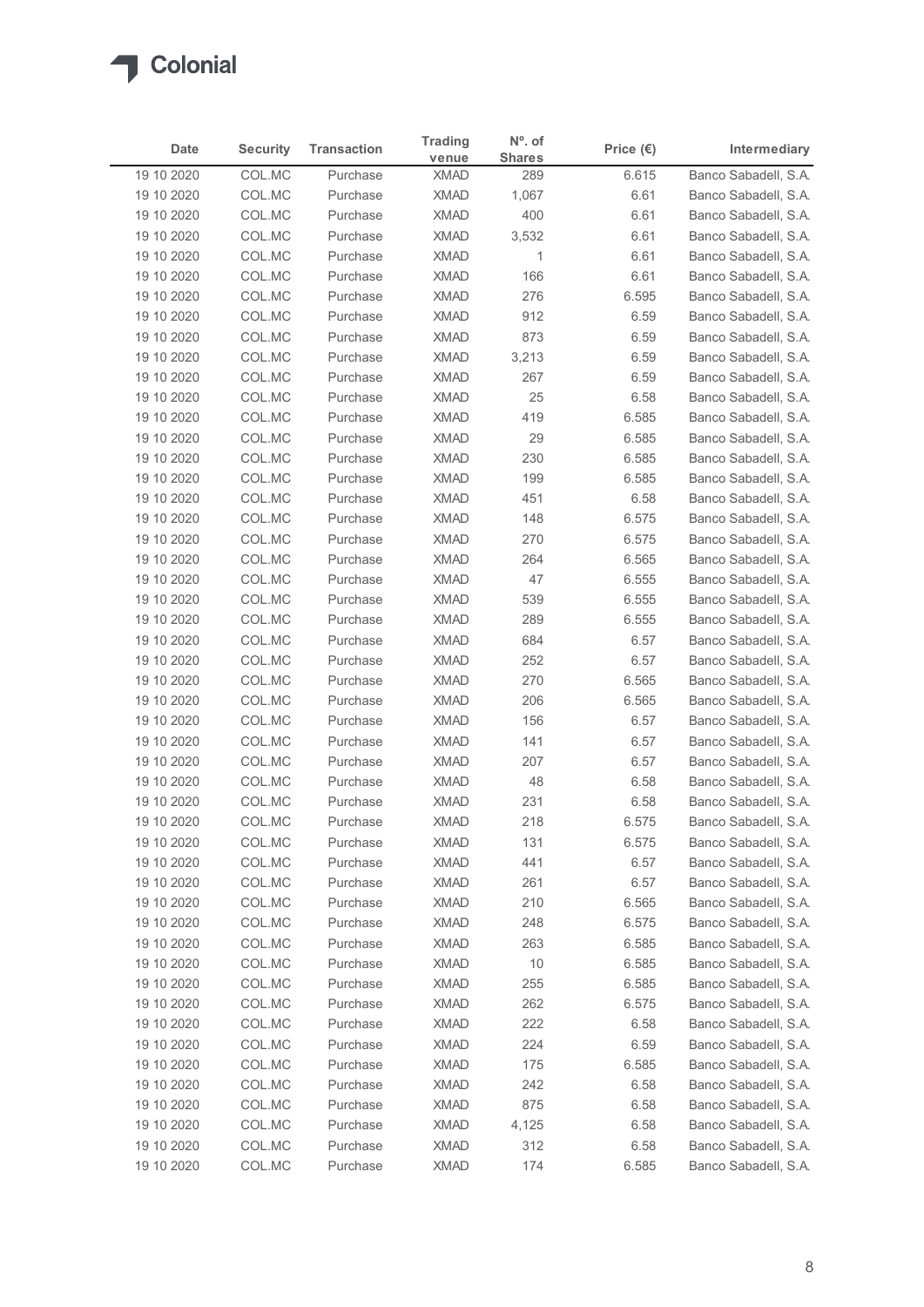

|                          |                  |                      | <b>Trading</b>             | $No$ . of      |                    |                                              |
|--------------------------|------------------|----------------------|----------------------------|----------------|--------------------|----------------------------------------------|
| <b>Date</b>              | <b>Security</b>  | <b>Transaction</b>   | venue                      | <b>Shares</b>  | Price $(\epsilon)$ | Intermediary                                 |
| 19 10 2020<br>19 10 2020 | COL.MC<br>COL.MC | Purchase<br>Purchase | <b>XMAD</b><br><b>XMAD</b> | 289<br>1,067   | 6.615<br>6.61      | Banco Sabadell, S.A.<br>Banco Sabadell, S.A. |
| 19 10 2020               | COL.MC           | Purchase             | <b>XMAD</b>                | 400            | 6.61               | Banco Sabadell, S.A.                         |
| 19 10 2020               | COL.MC           | Purchase             | <b>XMAD</b>                | 3,532          | 6.61               | Banco Sabadell, S.A.                         |
| 19 10 2020               | COL.MC           | Purchase             | <b>XMAD</b>                | $\overline{1}$ | 6.61               | Banco Sabadell, S.A.                         |
| 19 10 2020               | COL.MC           | Purchase             | <b>XMAD</b>                | 166            | 6.61               | Banco Sabadell, S.A.                         |
| 19 10 2020<br>19 10 2020 | COL.MC<br>COL.MC | Purchase<br>Purchase | <b>XMAD</b><br><b>XMAD</b> | 276<br>912     | 6.595<br>6.59      | Banco Sabadell, S.A.<br>Banco Sabadell, S.A. |
| 19 10 2020               | COL.MC           | Purchase             | <b>XMAD</b>                | 873            | 6.59               | Banco Sabadell, S.A.                         |
| 19 10 2020               | COL.MC           | Purchase             | <b>XMAD</b>                | 3,213          | 6.59               | Banco Sabadell, S.A.                         |
| 19 10 2020               | COL.MC           | Purchase             | <b>XMAD</b>                | 267            | 6.59               | Banco Sabadell, S.A.                         |
| 19 10 2020               | COL.MC           | Purchase             | <b>XMAD</b>                | 25             | 6.58               | Banco Sabadell, S.A.                         |
| 19 10 2020               | COL.MC           | Purchase             | <b>XMAD</b>                | 419            | 6.585              | Banco Sabadell, S.A.                         |
| 19 10 2020<br>19 10 2020 | COL.MC<br>COL.MC | Purchase<br>Purchase | XMAD<br><b>XMAD</b>        | 29<br>230      | 6.585<br>6.585     | Banco Sabadell, S.A.<br>Banco Sabadell, S.A. |
| 19 10 2020               | COL.MC           | Purchase             | <b>XMAD</b>                | 199            | 6.585              | Banco Sabadell, S.A.                         |
| 19 10 2020               | COL.MC           | Purchase             | XMAD                       | 451            | 6.58               | Banco Sabadell, S.A.                         |
| 19 10 2020               | COL.MC           | Purchase             | XMAD                       | 148            | 6.575              | Banco Sabadell, S.A.                         |
| 19 10 2020               | COL.MC           | Purchase             | <b>XMAD</b>                | 270            | 6.575              | Banco Sabadell, S.A.                         |
| 19 10 2020               | COL.MC           | Purchase             | <b>XMAD</b>                | 264            | 6.565              | Banco Sabadell, S.A.                         |
| 19 10 2020               | COL.MC           | Purchase             | <b>XMAD</b>                | 47             | 6.555              | Banco Sabadell, S.A.                         |
| 19 10 2020<br>19 10 2020 | COL.MC<br>COL.MC | Purchase<br>Purchase | XMAD<br><b>XMAD</b>        | 539<br>289     | 6.555<br>6.555     | Banco Sabadell, S.A.<br>Banco Sabadell, S.A. |
| 19 10 2020               | COL.MC           | Purchase             | <b>XMAD</b>                | 684            | 6.57               | Banco Sabadell, S.A.                         |
| 19 10 2020               | COL.MC           | Purchase             | XMAD                       | 252            | 6.57               | Banco Sabadell, S.A.                         |
| 19 10 2020               | COL.MC           | Purchase             | <b>XMAD</b>                | 270            | 6.565              | Banco Sabadell, S.A.                         |
| 19 10 2020               | COL.MC           | Purchase             | <b>XMAD</b>                | 206            | 6.565              | Banco Sabadell, S.A.                         |
| 19 10 2020               | COL.MC           | Purchase             | <b>XMAD</b>                | 156            | 6.57               | Banco Sabadell, S.A.                         |
| 19 10 2020               | COL.MC           | Purchase             | <b>XMAD</b>                | 141            | 6.57               | Banco Sabadell, S.A.                         |
| 19 10 2020               | COL.MC           | Purchase             | <b>XMAD</b>                | 207            | 6.57               | Banco Sabadell, S.A.                         |
| 19 10 2020<br>19 10 2020 | COL.MC<br>COL.MC | Purchase<br>Purchase | <b>XMAD</b><br><b>XMAD</b> | 48<br>231      | 6.58<br>6.58       | Banco Sabadell, S.A.<br>Banco Sabadell, S.A. |
| 19 10 2020               | COL.MC           | Purchase             | <b>XMAD</b>                | 218            | 6.575              | Banco Sabadell, S.A.                         |
| 19 10 2020               | COL.MC           | Purchase             | <b>XMAD</b>                | 131            | 6.575              | Banco Sabadell, S.A.                         |
| 19 10 2020               | COL.MC           | Purchase             | <b>XMAD</b>                | 441            | 6.57               | Banco Sabadell, S.A.                         |
| 19 10 2020               | COL.MC           | Purchase             | XMAD                       | 261            | 6.57               | Banco Sabadell, S.A.                         |
| 19 10 2020               | COL.MC           | Purchase             | <b>XMAD</b>                | 210            | 6.565              | Banco Sabadell, S.A.                         |
| 19 10 2020               | COL.MC           | Purchase             | <b>XMAD</b>                | 248            | 6.575              | Banco Sabadell, S.A.                         |
| 19 10 2020<br>19 10 2020 | COL.MC<br>COL.MC | Purchase<br>Purchase | <b>XMAD</b><br>XMAD        | 263<br>10      | 6.585<br>6.585     | Banco Sabadell, S.A.<br>Banco Sabadell, S.A. |
| 19 10 2020               | COL.MC           | Purchase             | XMAD                       | 255            | 6.585              | Banco Sabadell, S.A.                         |
| 19 10 2020               | COL.MC           | Purchase             | <b>XMAD</b>                | 262            | 6.575              | Banco Sabadell, S.A.                         |
| 19 10 2020               | COL.MC           | Purchase             | <b>XMAD</b>                | 222            | 6.58               | Banco Sabadell, S.A.                         |
| 19 10 2020               | COL.MC           | Purchase             | <b>XMAD</b>                | 224            | 6.59               | Banco Sabadell, S.A.                         |
| 19 10 2020               | COL.MC           | Purchase             | <b>XMAD</b>                | 175            | 6.585              | Banco Sabadell, S.A.                         |
| 19 10 2020               | COL.MC           | Purchase             | <b>XMAD</b>                | 242            | 6.58               | Banco Sabadell, S.A.                         |
| 19 10 2020               | COL.MC           | Purchase             | <b>XMAD</b>                | 875            | 6.58               | Banco Sabadell, S.A.                         |
| 19 10 2020               | COL.MC           | Purchase             | <b>XMAD</b>                | 4,125          | 6.58               | Banco Sabadell, S.A.                         |
| 19 10 2020               | COL.MC           | Purchase             | <b>XMAD</b>                | 312<br>174     | 6.58<br>6.585      | Banco Sabadell, S.A.<br>Banco Sabadell, S.A. |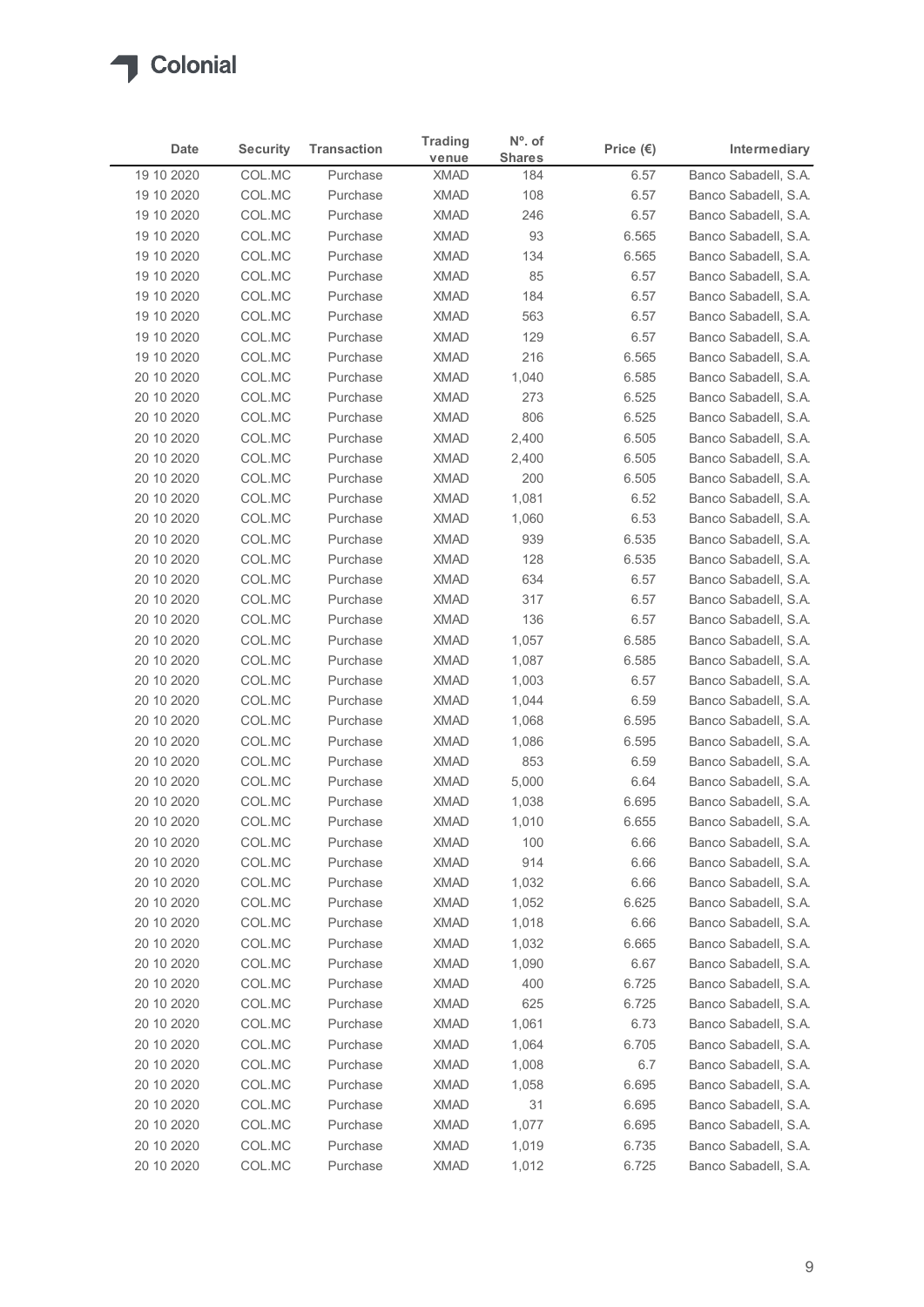

|                          |                  |                      | <b>Trading</b>             | $No$ . of      |                    |                                              |
|--------------------------|------------------|----------------------|----------------------------|----------------|--------------------|----------------------------------------------|
| Date                     | <b>Security</b>  | <b>Transaction</b>   | venue                      | <b>Shares</b>  | Price $(\epsilon)$ | Intermediary                                 |
| 19 10 2020               | COL.MC           | Purchase             | <b>XMAD</b>                | 184            | 6.57               | Banco Sabadell, S.A.                         |
| 19 10 2020<br>19 10 2020 | COL.MC<br>COL.MC | Purchase<br>Purchase | <b>XMAD</b><br><b>XMAD</b> | 108<br>246     | 6.57               | Banco Sabadell, S.A.<br>Banco Sabadell, S.A. |
| 19 10 2020               | COL.MC           | Purchase             | <b>XMAD</b>                | 93             | 6.57<br>6.565      | Banco Sabadell, S.A.                         |
| 19 10 2020               | COL.MC           | Purchase             | <b>XMAD</b>                | 134            | 6.565              | Banco Sabadell, S.A.                         |
| 19 10 2020               | COL.MC           | Purchase             | <b>XMAD</b>                | 85             | 6.57               | Banco Sabadell, S.A.                         |
| 19 10 2020               | COL.MC           | Purchase             | <b>XMAD</b>                | 184            | 6.57               | Banco Sabadell, S.A.                         |
| 19 10 2020               | COL.MC           | Purchase             | <b>XMAD</b>                | 563            | 6.57               | Banco Sabadell, S.A.                         |
| 19 10 2020               | COL.MC           | Purchase             | <b>XMAD</b>                | 129            | 6.57               | Banco Sabadell, S.A.                         |
| 19 10 2020               | COL.MC           | Purchase             | <b>XMAD</b>                | 216            | 6.565              | Banco Sabadell, S.A.                         |
| 20 10 2020               | COL.MC           | Purchase             | <b>XMAD</b>                | 1,040          | 6.585              | Banco Sabadell, S.A.                         |
| 20 10 2020               | COL.MC           | Purchase             | <b>XMAD</b>                | 273            | 6.525              | Banco Sabadell, S.A.                         |
| 20 10 2020               | COL.MC           | Purchase             | <b>XMAD</b>                | 806            | 6.525              | Banco Sabadell, S.A.                         |
| 20 10 2020               | COL.MC           | Purchase             | XMAD                       | 2,400          | 6.505              | Banco Sabadell, S.A.                         |
| 20 10 2020               | COL.MC           | Purchase             | <b>XMAD</b>                | 2,400          | 6.505              | Banco Sabadell, S.A.                         |
| 20 10 2020               | COL.MC           | Purchase             | XMAD                       | 200            | 6.505              | Banco Sabadell, S.A.                         |
| 20 10 2020               | COL.MC           | Purchase             | <b>XMAD</b>                | 1,081          | 6.52               | Banco Sabadell, S.A.                         |
| 20 10 2020               | COL.MC           | Purchase             | <b>XMAD</b>                | 1,060          | 6.53               | Banco Sabadell, S.A.                         |
| 20 10 2020               | COL.MC           | Purchase             | <b>XMAD</b>                | 939            | 6.535              | Banco Sabadell, S.A.                         |
| 20 10 2020               | COL.MC           | Purchase             | <b>XMAD</b>                | 128            | 6.535              | Banco Sabadell, S.A.                         |
| 20 10 2020               | COL.MC           | Purchase             | <b>XMAD</b>                | 634            | 6.57               | Banco Sabadell, S.A.                         |
| 20 10 2020               | COL.MC           | Purchase             | <b>XMAD</b>                | 317            | 6.57               | Banco Sabadell, S.A.                         |
| 20 10 2020               | COL.MC           | Purchase<br>Purchase | <b>XMAD</b><br><b>XMAD</b> | 136            | 6.57               | Banco Sabadell, S.A.<br>Banco Sabadell, S.A. |
| 20 10 2020<br>20 10 2020 | COL.MC<br>COL.MC | Purchase             | <b>XMAD</b>                | 1,057<br>1,087 | 6.585<br>6.585     | Banco Sabadell, S.A.                         |
| 20 10 2020               | COL.MC           | Purchase             | <b>XMAD</b>                | 1,003          | 6.57               | Banco Sabadell, S.A.                         |
| 20 10 2020               | COL.MC           | Purchase             | <b>XMAD</b>                | 1,044          | 6.59               | Banco Sabadell, S.A.                         |
| 20 10 2020               | COL.MC           | Purchase             | XMAD                       | 1,068          | 6.595              | Banco Sabadell, S.A.                         |
| 20 10 2020               | COL.MC           | Purchase             | <b>XMAD</b>                | 1,086          | 6.595              | Banco Sabadell, S.A.                         |
| 20 10 2020               | COL.MC           | Purchase             | <b>XMAD</b>                | 853            | 6.59               | Banco Sabadell, S.A.                         |
| 20 10 2020               | COL.MC           | Purchase             | <b>XMAD</b>                | 5,000          | 6.64               | Banco Sabadell, S.A.                         |
| 20 10 2020               | COL.MC           | Purchase             | <b>XMAD</b>                | 1,038          | 6.695              | Banco Sabadell, S.A.                         |
| 20 10 2020               | COL.MC           | Purchase             | <b>XMAD</b>                | 1,010          | 6.655              | Banco Sabadell, S.A.                         |
| 20 10 2020               | COL.MC           | Purchase             | <b>XMAD</b>                | 100            | 6.66               | Banco Sabadell, S.A.                         |
| 20 10 2020               | COL.MC           | Purchase             | XMAD                       | 914            | 6.66               | Banco Sabadell, S.A.                         |
| 20 10 2020               | COL.MC           | Purchase             | <b>XMAD</b>                | 1,032          | 6.66               | Banco Sabadell, S.A.                         |
| 20 10 2020               | COL.MC           | Purchase             | <b>XMAD</b>                | 1,052          | 6.625              | Banco Sabadell, S.A.                         |
| 20 10 2020               | COL.MC           | Purchase             | <b>XMAD</b>                | 1,018          | 6.66               | Banco Sabadell, S.A.                         |
| 20 10 2020               | COL.MC           | Purchase             | <b>XMAD</b>                | 1,032          | 6.665              | Banco Sabadell, S.A.                         |
| 20 10 2020               | COL.MC           | Purchase             | <b>XMAD</b>                | 1,090          | 6.67               | Banco Sabadell, S.A.                         |
| 20 10 2020               | COL.MC           | Purchase             | <b>XMAD</b>                | 400            | 6.725              | Banco Sabadell, S.A.                         |
| 20 10 2020               | COL.MC           | Purchase             | <b>XMAD</b>                | 625            | 6.725              | Banco Sabadell, S.A.                         |
| 20 10 2020               | COL.MC           | Purchase             | <b>XMAD</b>                | 1,061          | 6.73               | Banco Sabadell, S.A.                         |
| 20 10 2020               | COL.MC           | Purchase             | <b>XMAD</b>                | 1,064          | 6.705              | Banco Sabadell, S.A.                         |
| 20 10 2020               | COL.MC           | Purchase             | <b>XMAD</b>                | 1,008          | 6.7                | Banco Sabadell, S.A.                         |
| 20 10 2020               | COL.MC           | Purchase             | XMAD                       | 1,058          | 6.695              | Banco Sabadell, S.A.                         |
| 20 10 2020               | COL.MC           | Purchase             | <b>XMAD</b>                | 31             | 6.695              | Banco Sabadell, S.A.                         |
| 20 10 2020               | COL.MC           | Purchase             | <b>XMAD</b>                | 1,077          | 6.695              | Banco Sabadell, S.A.                         |
| 20 10 2020               | COL.MC<br>COL.MC | Purchase             | <b>XMAD</b>                | 1,019          | 6.735              | Banco Sabadell, S.A.                         |
| 20 10 2020               |                  | Purchase             | XMAD                       | 1,012          | 6.725              | Banco Sabadell, S.A.                         |